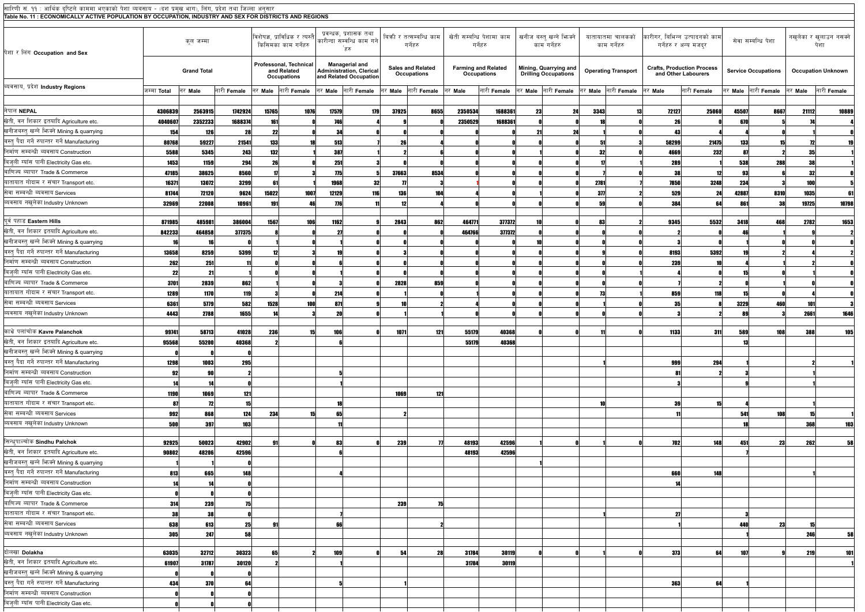| सारिणी सं. ११ : आर्थिक दृष्टिले काममा भएकाको पेशा व्यबसाय - (दश प्रमुख भाग), लिंग, प्रदेश तथा जिल्ला अनुसार |                    |                    |             |            |                                                             |                                                                                    |     |            |                                         |         |                                           |    |                                                      |      |                                  |         |                                                          |         |                            |         |                                 |
|-------------------------------------------------------------------------------------------------------------|--------------------|--------------------|-------------|------------|-------------------------------------------------------------|------------------------------------------------------------------------------------|-----|------------|-----------------------------------------|---------|-------------------------------------------|----|------------------------------------------------------|------|----------------------------------|---------|----------------------------------------------------------|---------|----------------------------|---------|---------------------------------|
| Table No. 11:ECONOMICALLY ACTIVE POPULATION BY OCCUPATION, INDUSTRY AND SEX FOR DISTRICTS AND REGIONS       |                    |                    |             |            |                                                             |                                                                                    |     |            |                                         |         |                                           |    |                                                      |      |                                  |         |                                                          |         |                            |         |                                 |
| पेशा र लिंग Occupation and Sex                                                                              |                    | कुल जम्मा          |             |            | विशेषज्ञ, प्राविधिक र त्यस्तै<br>किसिमका काम गर्नेहरु       | प्रवन्धक, प्रशासक तथा<br>कारीन्दा सम्वन्धि काम गने<br>`हरु                         |     |            | बिकी र तत्सम्बन्धि काम<br>गर्नेहरु      |         | खेती सम्बन्धि पेशामा काम<br>गर्नेहरु      |    | खनीज बस्त् खन्ने भिज्क्ने<br>काम गर्नेहरु            |      | यातायातमा चालकको<br>काम गर्नेहरु |         | कारीगर, बिभिन्न उत्पादनको काम<br>गर्नेहरु र अन्य मजदुर   |         | सेवा सम्बन्धि पेशा         |         | नखुलेका र खुलाउन नसक्ने<br>पेशा |
|                                                                                                             |                    | <b>Grand Total</b> |             |            | Professonal, Technical<br>and Related<br><b>Occupations</b> | <b>Managerial and</b><br><b>Administration, Clerical</b><br>and Related Occupation |     |            | <b>Sales and Related</b><br>Occupations |         | <b>Farming and Related</b><br>Occupations |    | Mining, Quarrying and<br><b>Drilling Occupations</b> |      | <b>Operating Transport</b>       |         | <b>Crafts, Production Process</b><br>and Other Labourers |         | <b>Service Occupations</b> |         | <b>Occupation Unknown</b>       |
| ब्यवसाय, प्रदेश Industry Regions                                                                            | जम्मा <b>Total</b> | नर Male            | नारी Female |            | नर Male नारी Female                                         | नर Male नारी Female                                                                |     | नर Male    | नारी Female                             | नर Male | नारी Female                               |    | नर Male नारी Female                                  |      | नर Male नारी Female              | नर Male | नारी Female                                              | नर Male | नारी Female                | नर Male | नारी Female                     |
|                                                                                                             |                    |                    |             |            |                                                             |                                                                                    |     |            |                                         |         |                                           |    |                                                      |      |                                  |         |                                                          |         |                            |         |                                 |
| नेपाल NEPAL                                                                                                 | 4306839            | 2563915            | 1742924     | 15765      | 1076                                                        | 17579                                                                              | 179 | 37925      | 8655                                    | 2350534 | 1688361                                   | 23 | 24                                                   | 3343 |                                  | 72127   | 25060                                                    | 45507   | 8667                       | 21112   | 10889                           |
| खेती, वन शिकार इतयादि Agriculture etc.                                                                      | 404060             | 2352233            | 1688374     | 161        |                                                             | 746                                                                                |     |            |                                         | 2350529 | 1688361                                   |    |                                                      |      |                                  |         |                                                          | 670     |                            |         |                                 |
| खनीजबस्तु खन्ने फिक्ने Mining & quarrying                                                                   | 154                | 126                |             | 22         |                                                             |                                                                                    |     |            |                                         |         |                                           |    | 24                                                   |      |                                  |         |                                                          |         |                            |         |                                 |
| बस्त् पैदा गर्ने रुपान्तर गर्ने Manufacturing                                                               | 80768              | 59227              | 21541       | <b>133</b> |                                                             | 513                                                                                |     | 26         |                                         |         |                                           |    |                                                      | 5    |                                  | 58299   | 21475                                                    | 133     |                            |         |                                 |
| निर्माण सम्बन्धी ब्यवसाय Construction                                                                       | 5588               | 5345               | 243         | 132        |                                                             | 387                                                                                |     |            |                                         |         |                                           |    |                                                      | -32  |                                  | 4669    | 232                                                      |         |                            | 35      |                                 |
| बिजुली ग्याँस पानी Electricity Gas etc.                                                                     | 1453               | 1159               | 294         |            |                                                             | 251                                                                                |     |            |                                         |         |                                           |    |                                                      |      |                                  | 289     |                                                          | 538     | 288                        |         |                                 |
| बाणिज्य ब्यापार Trade & Commerce                                                                            | 47185              | 38625              | 8560        |            |                                                             | 775                                                                                |     | 37663      | 8534                                    |         |                                           |    |                                                      |      |                                  | 38      |                                                          |         |                            | -32     |                                 |
| यातायात गोदाम र संचार Transport etc.                                                                        | 16371              | 13072              | 3299        |            |                                                             | 1968                                                                               | 32  |            |                                         |         |                                           |    |                                                      | 2781 |                                  | 7850    | 3248                                                     | 234     |                            |         |                                 |
| सेवा सम्बन्धी ब्यवसाय Services                                                                              | 81744              | <b>72120</b>       | 9624        | 15022      | 1007                                                        | 12129                                                                              | 116 | <b>136</b> | 104                                     |         |                                           |    |                                                      | 377  |                                  | 529     |                                                          | 42887   | 8310                       | 1035    |                                 |
| ब्यवसाय नखुलेका Industry Unknown                                                                            | 32969              | 22008              | 10961       | 191        | 46                                                          | <b>776</b>                                                                         |     | 12         |                                         |         |                                           |    |                                                      | 59   |                                  | 384     | 64                                                       | 861     | 38                         | 19725   | 10798                           |
| पूर्व पहाड Eastern Hills                                                                                    | 871985             | 485981             | 386004      | 1567       | <b>106</b>                                                  | 1162                                                                               |     | 2843       | 862                                     | 464771  | 377372                                    |    |                                                      | 83   |                                  | 9345    | 5532                                                     | 3418    | 468                        | 2782    | 1653                            |
| खेती, वन शिकार इतयादि Agriculture etc.                                                                      | 842233             | 464858             | 377375      |            |                                                             | -27                                                                                |     |            |                                         | 464766  | 377372                                    |    |                                                      |      |                                  |         |                                                          |         |                            |         |                                 |
| खनीजबस्तु खन्ने भिज्मे Mining & quarrying                                                                   |                    |                    |             |            |                                                             |                                                                                    |     |            |                                         |         |                                           |    |                                                      |      |                                  |         |                                                          |         |                            |         |                                 |
| बस्त् पैदा गर्ने रुपान्तर गर्ने Manufacturing                                                               | 13658              | 8259               | 5399        |            |                                                             |                                                                                    |     |            |                                         |         |                                           |    |                                                      |      |                                  | 8193    | 5392                                                     |         |                            |         |                                 |
| निर्माण सम्बन्धी ब्यवसाय Construction                                                                       | 262                | 251                |             |            |                                                             |                                                                                    |     |            |                                         |         |                                           |    |                                                      |      |                                  | 239     |                                                          |         |                            |         |                                 |
| बिजुली ग्याँस पानी Electricity Gas etc.                                                                     | -22                | -21                |             |            |                                                             |                                                                                    |     |            |                                         |         |                                           |    |                                                      |      |                                  |         |                                                          |         |                            |         |                                 |
| बाणिज्य ब्यापार Trade & Commerce                                                                            | 3701               | 2839               | 862         |            |                                                             |                                                                                    |     | 2828       | 859                                     |         |                                           |    |                                                      |      |                                  |         |                                                          |         |                            |         |                                 |
| यातायात गोदाम र संचार Transport etc.                                                                        | 1289               | 1170               | <b>119</b>  |            |                                                             | 214                                                                                |     |            |                                         |         |                                           |    |                                                      | 73   |                                  | 859     |                                                          |         |                            |         |                                 |
| सेवा सम्बन्धी ब्यवसाय Services                                                                              | 6361               | 5779               | 582         | 1528       | <b>100</b>                                                  | 871                                                                                |     |            |                                         |         |                                           |    |                                                      |      |                                  |         |                                                          | 3229    | 460                        |         |                                 |
| ब्यवसाय नखुलेका Industry Unknown                                                                            | 4443               | 2788               | 1655        |            |                                                             |                                                                                    |     |            |                                         |         |                                           |    |                                                      |      |                                  |         |                                                          |         |                            | 2661    | 1646                            |
|                                                                                                             |                    |                    |             |            |                                                             |                                                                                    |     |            |                                         |         |                                           |    |                                                      |      |                                  |         |                                                          |         |                            |         |                                 |
| काभ्रे पलांचोक Kavre Palanchok                                                                              | 99741              | 58713              | 41028       | 236 I      |                                                             | 106)                                                                               |     | 1071       | 121                                     | 55179   | 40368                                     |    |                                                      |      |                                  | 1133    | 311J                                                     | 589     | 108                        | 388     |                                 |
| खेती, वन शिकार इतयादि Agriculture etc.                                                                      | 95568              | 55200              | 40368       |            |                                                             |                                                                                    |     |            |                                         | 55179   | 40368                                     |    |                                                      |      |                                  |         |                                                          |         |                            |         |                                 |
| खनीजबस्त् खन्ने भिज्मे Mining & quarrying                                                                   |                    |                    |             |            |                                                             |                                                                                    |     |            |                                         |         |                                           |    |                                                      |      |                                  |         |                                                          |         |                            |         |                                 |
| बस्त् पैदा गर्ने रुपान्तर गर्ने Manufacturing                                                               | 1298               | 1003               | 295         |            |                                                             |                                                                                    |     |            |                                         |         |                                           |    |                                                      |      |                                  | 999     | 294                                                      |         |                            |         |                                 |
| निर्माण सम्बन्धी ब्यवसाय Construction                                                                       |                    |                    |             |            |                                                             |                                                                                    |     |            |                                         |         |                                           |    |                                                      |      |                                  |         |                                                          |         |                            |         |                                 |
| बिजुली ग्याँस पानी Electricity Gas etc.                                                                     |                    |                    |             |            |                                                             |                                                                                    |     |            |                                         |         |                                           |    |                                                      |      |                                  |         |                                                          |         |                            |         |                                 |
| बाणिज्य ब्यापार Trade & Commerce                                                                            | <b>1190</b>        | 1069               | 121         |            |                                                             |                                                                                    |     | 1069       | 121                                     |         |                                           |    |                                                      |      |                                  |         |                                                          |         |                            |         |                                 |
| यातायात गोदाम र संचार Transport etc.                                                                        |                    | 72                 | 15          |            |                                                             | 18                                                                                 |     |            |                                         |         |                                           |    |                                                      |      |                                  | 39      |                                                          |         |                            |         |                                 |
| सेवा सम्बन्धी ब्यवसाय Services                                                                              | 992                | 868                | 124         | 234        |                                                             | 65                                                                                 |     |            |                                         |         |                                           |    |                                                      |      |                                  |         |                                                          | 541     | <b>108</b>                 |         |                                 |
| ब्यवसाय नखुलेका Industry Unknown                                                                            | 500                | 397                | <b>103</b>  |            |                                                             |                                                                                    |     |            |                                         |         |                                           |    |                                                      |      |                                  |         |                                                          |         |                            | 368     | 103                             |
| सिन्धुपाल्चोक Sindhu Palchok                                                                                | 92925              | 50023              | 42902       |            |                                                             |                                                                                    |     | 239        |                                         | 48193   | 42596                                     |    |                                                      |      |                                  | 702     | 148                                                      | 451     | 23                         | 262     |                                 |
| खेती, वन शिकार इतयादि Agriculture etc.                                                                      | 90802              | 48206              | 42596       |            |                                                             |                                                                                    |     |            |                                         | 48193   | 42596                                     |    |                                                      |      |                                  |         |                                                          |         |                            |         |                                 |
| खनीजबस्त् खन्ने भिज्मे Mining & quarrying                                                                   |                    |                    |             |            |                                                             |                                                                                    |     |            |                                         |         |                                           |    |                                                      |      |                                  |         |                                                          |         |                            |         |                                 |
| बस्त् पैदा गर्ने रुपान्तर गर्ने Manufacturing                                                               | 813                | 665                | 148         |            |                                                             |                                                                                    |     |            |                                         |         |                                           |    |                                                      |      |                                  | 660     | 148                                                      |         |                            |         |                                 |
| निर्माण सम्बन्धी ब्यवसाय Construction                                                                       |                    | 14                 |             |            |                                                             |                                                                                    |     |            |                                         |         |                                           |    |                                                      |      |                                  | 14      |                                                          |         |                            |         |                                 |
| बिजुली ग्याँस पानी Electricity Gas etc.                                                                     |                    |                    |             |            |                                                             |                                                                                    |     |            |                                         |         |                                           |    |                                                      |      |                                  |         |                                                          |         |                            |         |                                 |
| बाणिज्य ब्यापार Trade & Commerce                                                                            | 314                | <b>239</b>         | 751         |            |                                                             |                                                                                    |     | 239        | 75                                      |         |                                           |    |                                                      |      |                                  |         |                                                          |         |                            |         |                                 |
| यातायात गोदाम र संचार Transport etc.                                                                        |                    | 38                 |             |            |                                                             |                                                                                    |     |            |                                         |         |                                           |    |                                                      |      |                                  | 27      |                                                          |         |                            |         |                                 |
| सेवा सम्बन्धी ब्यवसाय Services                                                                              | 638                | 613                | 25          |            |                                                             |                                                                                    |     |            |                                         |         |                                           |    |                                                      |      |                                  |         |                                                          | 440     | 23                         |         |                                 |
| ब्यवसाय नखुलेका Industry Unknown                                                                            | 305                | 247                | 58          |            |                                                             |                                                                                    |     |            |                                         |         |                                           |    |                                                      |      |                                  |         |                                                          |         |                            | 246     | 58                              |
|                                                                                                             |                    |                    |             |            |                                                             |                                                                                    |     |            |                                         |         |                                           |    |                                                      |      |                                  |         |                                                          |         |                            |         |                                 |
| दोलखा Dolakha                                                                                               | 63035              | 32712              | 30323       | 65         |                                                             | 109                                                                                |     | 54         | 28                                      | 31784   | 30119                                     |    |                                                      |      |                                  | 373     | 64                                                       | 107     |                            | 219     | 101                             |
| खेती, वन शिकार इतयादि Agriculture etc.                                                                      | 61907              | 31787              | 30120       |            |                                                             |                                                                                    |     |            |                                         | 31784   | 30119                                     |    |                                                      |      |                                  |         |                                                          |         |                            |         |                                 |
| खनीजबस्त् खन्ने भिज्मे Mining & quarrying                                                                   |                    |                    |             |            |                                                             |                                                                                    |     |            |                                         |         |                                           |    |                                                      |      |                                  |         |                                                          |         |                            |         |                                 |
| बस्त् पैदा गर्ने रुपान्तर गर्ने Manufacturing                                                               | 434                | <b>370</b>         | 64          |            |                                                             |                                                                                    |     |            |                                         |         |                                           |    |                                                      |      |                                  | 363     | 64                                                       |         |                            |         |                                 |
| निर्माण सम्बन्धी ब्यवसाय Construction                                                                       |                    |                    |             |            |                                                             |                                                                                    |     |            |                                         |         |                                           |    |                                                      |      |                                  |         |                                                          |         |                            |         |                                 |
| बिजुली ग्याँस पानी Electricity Gas etc.                                                                     |                    |                    |             |            |                                                             |                                                                                    |     |            |                                         |         |                                           |    |                                                      |      |                                  |         |                                                          |         |                            |         |                                 |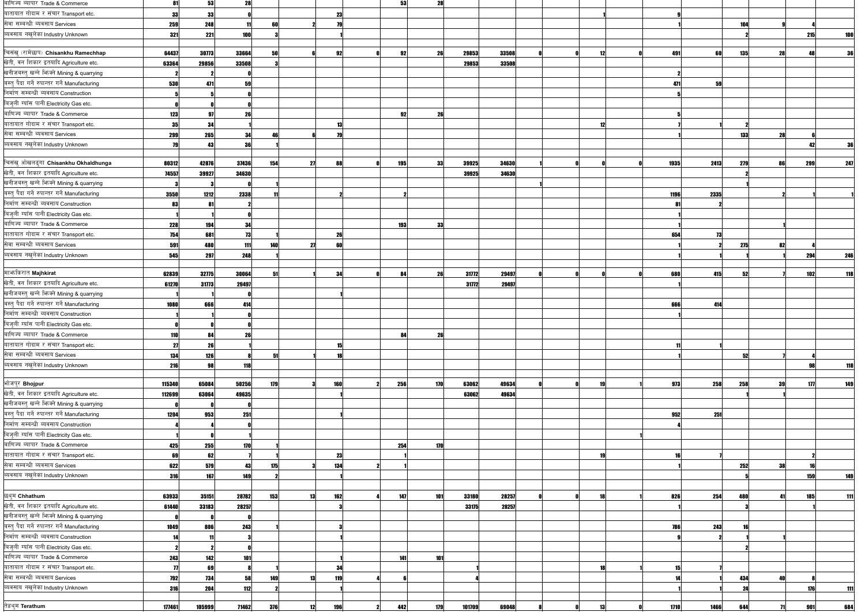| बाणिज्य ब्यापार Trade & Commerce              | 81         | 53     | 28    |     |    |     | 53  | 28  |        |       |    |      |      |            |               |     |            |
|-----------------------------------------------|------------|--------|-------|-----|----|-----|-----|-----|--------|-------|----|------|------|------------|---------------|-----|------------|
| यातायात गोदाम र संचार Transport etc.          | 33         | 33     |       |     |    | 23  |     |     |        |       |    |      |      |            |               |     |            |
| सेवा सम्बन्धी ब्यवसाय Services                | 259        | 248    | 11    | 60  |    |     |     |     |        |       |    |      |      | 104        |               |     |            |
| ब्यवसाय नखुलेका Industry Unknown              | 321        | 221    | 100   |     |    |     |     |     |        |       |    |      |      |            |               | 215 |            |
|                                               |            |        |       |     |    |     |     |     |        |       |    |      |      |            |               |     |            |
| चिसंखु (रामेछाप) Chisankhu Ramechhap          | 64437      | 30773  | 33664 | 50  |    | 92  | 92  | 26  | 29853  | 33508 | 12 | 491  | 60   | <b>135</b> | 28            |     |            |
| खेती, वन शिकार इतयादि Agriculture etc.        | 63364      | 29856  | 33508 |     |    |     |     |     | 29853  | 33508 |    |      |      |            |               |     |            |
| खनीजबस्तु खन्ने भिज्क्ने Mining & quarrying   |            |        |       |     |    |     |     |     |        |       |    |      |      |            |               |     |            |
| बस्त् पैदा गर्ने रुपान्तर गर्ने Manufacturing | 530        | 471    | 59    |     |    |     |     |     |        |       |    | 471  | 59   |            |               |     |            |
| निर्माण सम्बन्धी ब्यवसाय Construction         |            |        |       |     |    |     |     |     |        |       |    |      |      |            |               |     |            |
| बिजुली ग्याँस पानी Electricity Gas etc.       |            |        |       |     |    |     |     |     |        |       |    |      |      |            |               |     |            |
| बाणिज्य ब्यापार Trade & Commerce              | 123        | 97     | 26    |     |    |     | 92  | 26  |        |       |    |      |      |            |               |     |            |
| यातायात गोदाम र संचार Transport etc.          | 35         | 34     |       |     |    | 13  |     |     |        |       | 12 |      |      |            |               |     |            |
| सेवा सम्बन्धी ब्यवसाय Services                | 299        | 265    | 34    | 46  |    |     |     |     |        |       |    |      |      | <b>133</b> | 28            |     |            |
| ब्यवसाय नखुलेका Industry Unknown              | 79         | 43     | 36    |     |    |     |     |     |        |       |    |      |      |            |               |     | 36         |
|                                               |            |        |       |     |    |     |     |     |        |       |    |      |      |            |               |     |            |
| चिसंखु ओखलढुंगा Chisankhu Okhaldhunga         | 80312      | 42876  | 37436 | 154 | 27 | 88  | 195 | 33  | 39925  | 34630 |    | 1935 | 2413 | 279        | 86            | 299 | 247        |
| खेती, वन शिकार इतयादि Agriculture etc.        | 74557      | 39927  | 34630 |     |    |     |     |     | 39925  | 34630 |    |      |      |            |               |     |            |
| खनीजबस्तु खन्ने भिज्क्ने Mining & quarrying   |            |        |       |     |    |     |     |     |        |       |    |      |      |            |               |     |            |
| बस्तु पैदा गर्ने रुपान्तर गर्ने Manufacturing | 3550       | 1212   | 2338  |     |    |     |     |     |        |       |    | 1196 | 2335 |            |               |     |            |
| निर्माण सम्बन्धी ब्यवसाय Construction         | 83         | 81     |       |     |    |     |     |     |        |       |    |      |      |            |               |     |            |
| बिजुली ग्याँस पानी Electricity Gas etc.       |            |        |       |     |    |     |     |     |        |       |    |      |      |            |               |     |            |
| बाणिज्य ब्यापार Trade & Commerce              | 228        | 194    | 34    |     |    |     | 193 | 33  |        |       |    |      |      |            |               |     |            |
| यातायात गोदाम र संचार Transport etc.          | 754        | 681    | 73    |     |    | 26  |     |     |        |       |    | 654  | 73   |            |               |     |            |
| सेवा सम्बन्धी ब्यवसाय Services                | 591        | 480    |       | 140 |    | 60  |     |     |        |       |    |      |      |            | 82            |     |            |
| ब्यवसाय नखुलेका Industry Unknown              |            |        | 111   |     | 27 |     |     |     |        |       |    |      |      | 275        |               |     |            |
|                                               | 545        | 297    | 248   |     |    |     |     |     |        |       |    |      |      |            |               | 294 | 246        |
| माभ्ककिरात Majhkirat                          | 62839      | 32775  | 30064 | 51  |    | 34  | 84  | 26  | 31772  | 29497 |    | 680  | 415  | 52         |               | 102 | 118        |
| खेती, वन शिकार इतयादि Agriculture etc.        |            | 31773  | 29497 |     |    |     |     |     | 31772  | 29497 |    |      |      |            |               |     |            |
| खनीजबस्तु खन्ने भिज्मे Mining & quarrying     | 61270      |        |       |     |    |     |     |     |        |       |    |      |      |            |               |     |            |
| बस्तु पैदा गर्ने रुपान्तर गर्ने Manufacturing |            |        |       |     |    |     |     |     |        |       |    |      |      |            |               |     |            |
| निर्माण सम्बन्धी ब्यवसाय Construction         | 1080       | 666    | 414   |     |    |     |     |     |        |       |    | 666  | 414  |            |               |     |            |
|                                               |            |        |       |     |    |     |     |     |        |       |    |      |      |            |               |     |            |
| बिजुली ग्याँस पानी Electricity Gas etc.       |            |        |       |     |    |     |     |     |        |       |    |      |      |            |               |     |            |
| बाणिज्य ब्यापार Trade & Commerce              | <b>110</b> | 84     | 26    |     |    |     |     | 26  |        |       |    |      |      |            |               |     |            |
| यातायात गोदाम र संचार Transport etc.          | 27         | 26     |       |     |    | 15  |     |     |        |       |    |      |      |            |               |     |            |
| सेवा सम्बन्धी ब्यवसाय Services                | 134        | 126    |       | 51  |    |     |     |     |        |       |    |      |      | 52         |               |     |            |
| ब्यवसाय नखुलेका Industry Unknown              | 216        | 98     | 118   |     |    |     |     |     |        |       |    |      |      |            |               |     | <b>118</b> |
|                                               |            |        |       |     |    |     |     |     |        |       |    |      |      |            |               |     |            |
| भोजपुर Bhojpur                                | 115340     | 65084  | 50256 | 179 |    | 160 | 256 | 170 | 63062  | 49634 | 19 | 973  | 258  | 258        | 39            | 177 | 149        |
| खेती, वन शिकार इतयादि Agriculture etc.        | 112699     | 63064  | 49635 |     |    |     |     |     | 63062  | 49634 |    |      |      |            |               |     |            |
| खनीजबस्तु खन्ने भिज्मे Mining & quarrying     |            |        |       |     |    |     |     |     |        |       |    |      |      |            |               |     |            |
| बस्त् पैदा गर्ने रुपान्तर गर्ने Manufacturing | 1204       | 953    | 251   |     |    |     |     |     |        |       |    | 952  | 251  |            |               |     |            |
| निर्माण सम्बन्धी ब्यवसाय Construction         |            |        |       |     |    |     |     |     |        |       |    |      |      |            |               |     |            |
| बिजुली ग्याँस पानी Electricity Gas etc.       |            |        |       |     |    |     |     |     |        |       |    |      |      |            |               |     |            |
| बाणिज्य ब्यापार Trade & Commerce              | 425        | 255    | 170   |     |    |     | 254 | 170 |        |       |    |      |      |            |               |     |            |
| यातायात गोदाम र संचार Transport etc.          | 69         | 62     |       |     |    | 23  |     |     |        |       | 19 |      |      |            |               |     |            |
| सेवा सम्बन्धी ब्यवसाय Services                | 622        | 579    | 43    | 175 |    | 134 |     |     |        |       |    |      |      | 252        | 38            |     |            |
| ब्यवसाय नखुलेका Industry Unknown              | <b>316</b> | 167    | 149   |     |    |     |     |     |        |       |    |      |      |            |               | 159 | 149        |
|                                               |            |        |       |     |    |     |     |     |        |       |    |      |      |            |               |     |            |
| छथुम Chhathum                                 | 63933      | 35151  | 28782 | 153 | 13 | 162 | 147 | 101 | 33180  | 28257 | 18 | 826  | 254  | 480        | 41            | 185 | 111        |
| खेती, वन शिकार इतयादि Agriculture etc.        | 61440      | 33183  | 28257 |     |    |     |     |     | 33175  | 28257 |    |      |      |            |               |     |            |
| खनीजबस्तु खन्ने भिज्मे Mining & quarrying     |            |        |       |     |    |     |     |     |        |       |    |      |      |            |               |     |            |
| बस्त् पैदा गर्ने रुपान्तर गर्ने Manufacturing | 1049       | 806    | 243   |     |    |     |     |     |        |       |    | 786  | 243  |            |               |     |            |
| निर्माण सम्बन्धी ब्यवसाय Construction         |            |        |       |     |    |     |     |     |        |       |    |      |      |            |               |     |            |
| बिजुली ग्याँस पानी Electricity Gas etc.       |            |        |       |     |    |     |     |     |        |       |    |      |      |            |               |     |            |
| बाणिज्य ब्यापार Trade & Commerce              | 243        | 142    | 101   |     |    |     | 141 | 101 |        |       |    |      |      |            |               |     |            |
| यातायात गोदाम र संचार Transport etc.          |            | 69     |       |     |    |     |     |     |        |       | 11 |      |      |            |               |     |            |
| सेवा सम्बन्धी ब्यवसाय Services                |            |        |       |     |    |     |     |     |        |       |    |      |      |            | 40            |     |            |
| ब्यवसाय नखुलेका Industry Unknown              | 792        | 734    | 58    | 149 | 13 | 119 |     |     |        |       |    |      |      | 434        |               |     |            |
|                                               | <b>316</b> | 204    | 112   |     |    |     |     |     |        |       |    |      |      | 24         |               | 176 | 111        |
| तेह्रथुम Terathum                             | 177461     | 105999 | 71462 | 376 | 12 | 196 | 442 | 179 | 101709 | 69048 | 13 | 1710 | 1466 | 644        | $\mathbf{71}$ | 901 | 684        |
|                                               |            |        |       |     |    |     |     |     |        |       |    |      |      |            |               |     |            |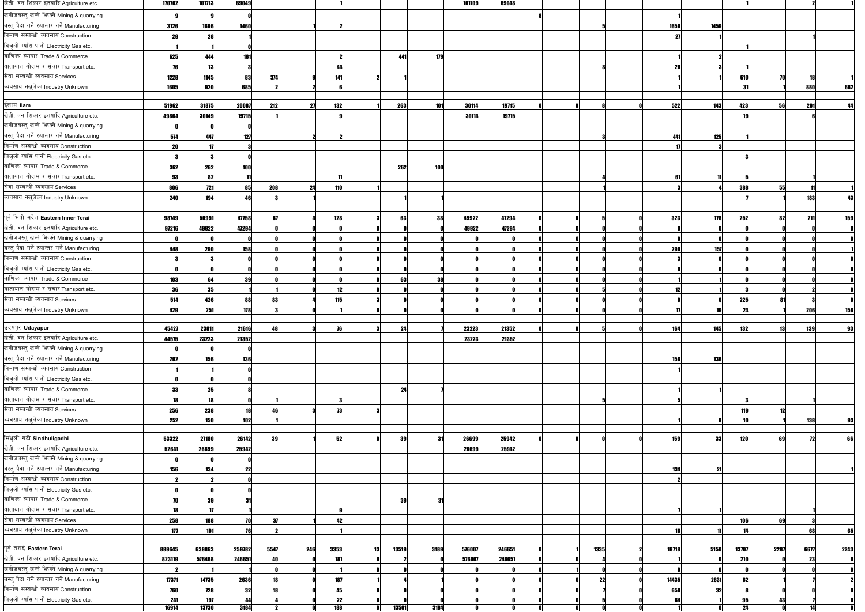| खेती, वन शिकार इतयादि Agriculture etc.                                                 | 170762     | 101713     | 69049      |      |     |            |             |            | 101709 | 69048  |  |      |       |      |           |      |            |      |
|----------------------------------------------------------------------------------------|------------|------------|------------|------|-----|------------|-------------|------------|--------|--------|--|------|-------|------|-----------|------|------------|------|
| खनीजबस्त् खन्ने फिक्ने Mining & quarrying                                              |            |            |            |      |     |            |             |            |        |        |  |      |       |      |           |      |            |      |
| बस्त् पैदा गर्ने रुपान्तर गर्ने Manufacturing                                          | 3126       | 1666       | 1460       |      |     |            |             |            |        |        |  |      | 1659  | 1459 |           |      |            |      |
| निर्माण सम्बन्धी ब्यवसाय Construction                                                  | 20         |            |            |      |     |            |             |            |        |        |  |      | - 27  |      |           |      |            |      |
| बिजुली ग्याँस पानी Electricity Gas etc.                                                |            |            |            |      |     |            |             |            |        |        |  |      |       |      |           |      |            |      |
| बाणिज्य ब्यापार Trade & Commerce                                                       | 625        | 444        | <b>181</b> |      |     |            | 441         | 179        |        |        |  |      |       |      |           |      |            |      |
| यातायात गोदाम र संचार Transport etc.                                                   |            |            |            |      |     |            |             |            |        |        |  |      | 20    |      |           |      |            |      |
| सेवा सम्बन्धी ब्यवसाय Services                                                         | 1228       | 1145       | 83         | 374  |     | 141        |             |            |        |        |  |      |       |      | 610       |      |            |      |
| ब्यवसाय नखुलेका Industry Unknown                                                       | 1605       | 920        | 685        |      |     |            |             |            |        |        |  |      |       |      |           |      | 880        | 682  |
|                                                                                        |            |            |            |      |     |            |             |            |        |        |  |      |       |      |           |      |            |      |
| ईलाम llam                                                                              | 51962      | 31875      | 20087      | 212  | 27  | 132        | 263         | <b>101</b> | 30114  | 19715  |  |      | 522   | 143  | 423       | 56   | 201        |      |
| खेती, वन शिकार इतयादि Agriculture etc.                                                 | 49864      | 30149      | 19715      |      |     |            |             |            | 30114  | 19715  |  |      |       |      |           |      |            |      |
| खनीजबस्तु खन्ने भिज्मे Mining & quarrying                                              |            |            |            |      |     |            |             |            |        |        |  |      |       |      |           |      |            |      |
| बस्त् पैदा गर्ने रुपान्तर गर्ने Manufacturing                                          | 574        | 447        | 127        |      |     |            |             |            |        |        |  |      | 441   | 125  |           |      |            |      |
| निर्माण सम्बन्धी ब्यवसाय Construction                                                  | 21         |            |            |      |     |            |             |            |        |        |  |      |       |      |           |      |            |      |
| बिजुली ग्याँस पानी Electricity Gas etc.                                                |            |            |            |      |     |            |             |            |        |        |  |      |       |      |           |      |            |      |
| बाणिज्य ब्यापार Trade & Commerce                                                       | 362        | 262        | 100        |      |     |            | 262         | 100        |        |        |  |      |       |      |           |      |            |      |
| यातायात गोदाम र संचार Transport etc.                                                   | 93         | 82         |            |      |     |            |             |            |        |        |  |      | 61    |      |           |      |            |      |
| सेवा सम्बन्धी ब्यवसाय Services                                                         | 806        | 721        | 85         | 208  | 24  | 110        |             |            |        |        |  |      |       |      | 388       | 55   |            |      |
| ब्यवसाय नखुलेका Industry Unknown                                                       | 240        | 194        |            |      |     |            |             |            |        |        |  |      |       |      |           |      |            |      |
|                                                                                        |            |            |            |      |     |            |             |            |        |        |  |      |       |      |           |      |            |      |
| पूर्व भित्री मदेश Eastern Inner Terai                                                  | 98749      | 50991      | 47758      |      |     | 128        | 63          | 38         | 49922  | 47294  |  |      | 323   | 178  | 252       | 82   | 211        | 159  |
| खेती, वन शिकार इतयादि Agriculture etc.                                                 | 97216      | 49922      | 47294      |      |     |            |             |            | 49922  | 47294  |  |      |       |      |           |      |            |      |
| खनीजबस्तु खन्ने फिक्ने Mining & quarrying                                              |            |            |            |      |     |            |             |            |        |        |  |      |       |      |           |      |            |      |
| बस्त् पैदा गर्ने रुपान्तर गर्ने Manufacturing                                          | 448        | 290        | <b>158</b> |      |     |            |             |            |        |        |  |      | 290   | 157  |           |      |            |      |
| निर्माण सम्बन्धी ब्यवसाय Construction                                                  |            |            |            |      |     |            |             |            |        |        |  |      |       |      |           |      |            |      |
| बिजुली ग्याँस पानी Electricity Gas etc.                                                |            |            |            |      |     |            |             |            |        |        |  |      |       |      |           |      |            |      |
| बाणिज्य ब्यापार Trade & Commerce                                                       | 103        | -64        | 39         |      |     |            |             |            |        |        |  |      |       |      |           |      |            |      |
| यातायात गोदाम र संचार Transport etc.                                                   | 31         | 35         |            |      |     |            |             |            |        |        |  |      |       |      |           |      |            |      |
| सेवा सम्बन्धी ब्यवसाय Services                                                         | 514        | 426        | 88         |      |     | 115        |             |            |        |        |  |      |       |      | 225       |      |            |      |
| ब्यवसाय नखुलेका Industry Unknown                                                       | 429        | 251        | 178        |      |     |            |             |            |        |        |  |      |       |      | 24        |      | 206        | 158  |
|                                                                                        |            |            |            |      |     |            |             |            |        |        |  |      |       |      |           |      |            |      |
| उदयपुर Udayapur                                                                        | 45427      | 23811      | 21616      | 48   |     |            | 24          |            | 23223  | 21352  |  |      | 164   | 145  | 132       | 13   | 139        | 93   |
| खेती, वन शिकार इतयादि Agriculture etc.                                                 | 44575      | 23223      | 21352      |      |     |            |             |            | 23223  | 21352  |  |      |       |      |           |      |            |      |
| खनीजबस्त् खन्ने फिक्ने Mining & quarrying                                              |            |            |            |      |     |            |             |            |        |        |  |      |       |      |           |      |            |      |
| बस्त् पैदा गर्ने रुपान्तर गर्ने Manufacturing                                          | 292        | <b>156</b> | <b>136</b> |      |     |            |             |            |        |        |  |      | 156   | 136  |           |      |            |      |
| निर्माण सम्बन्धी ब्यवसाय Construction                                                  |            |            |            |      |     |            |             |            |        |        |  |      |       |      |           |      |            |      |
| बिजुली ग्याँस पानी Electricity Gas etc.                                                |            |            |            |      |     |            |             |            |        |        |  |      |       |      |           |      |            |      |
| बाणिज्य ब्यापार Trade & Commerce                                                       | 33         | 25         |            |      |     |            | 24          |            |        |        |  |      |       |      |           |      |            |      |
| यातायात गोदाम र संचार Transport etc.                                                   |            | 19         |            |      |     |            |             |            |        |        |  |      |       |      |           |      |            |      |
| सेवा सम्बन्धी ब्यवसाय Services                                                         | 256        | 238        | 18         |      |     | 73         |             |            |        |        |  |      |       |      | 119       |      |            |      |
| ब्यवसाय नखुलेका Industry Unknown                                                       | 252        | 150        | 102        |      |     |            |             |            |        |        |  |      |       |      |           |      | <b>138</b> | 93   |
|                                                                                        |            |            |            |      |     |            |             |            |        |        |  |      |       |      |           |      |            |      |
| सिंधुली गढी Sindhuligadhi                                                              | 53322      | 27180      | 26142      | 39   |     | 52         | 39          | -31        | 26699  | 25942  |  |      | 159   | 33   | 120       | 69   | 72         | 66   |
| खेती, वन शिकार इतयादि Agriculture etc.                                                 | 52641      | 26699      | 25942      |      |     |            |             |            | 26699  | 25942  |  |      |       |      |           |      |            |      |
| खनीजबस्त् खन्ने फिक्ने Mining & quarrying                                              |            |            |            |      |     |            |             |            |        |        |  |      |       |      |           |      |            |      |
| बस्त् पैदा गर्ने रुपान्तर गर्ने Manufacturing<br>निर्माण सम्बन्धी ब्यवसाय Construction | <b>156</b> | 134        | 22         |      |     |            |             |            |        |        |  |      | 134   |      |           |      |            |      |
| बिजुली ग्याँस पानी Electricity Gas etc.                                                |            |            |            |      |     |            |             |            |        |        |  |      |       |      |           |      |            |      |
| बाणिज्य ब्यापार Trade & Commerce                                                       |            |            |            |      |     |            |             |            |        |        |  |      |       |      |           |      |            |      |
| यातायात गोदाम र संचार Transport etc.                                                   | 70         | 39         | 31         |      |     |            | 39          | -31        |        |        |  |      |       |      |           |      |            |      |
| सेवा सम्बन्धी ब्यवसाय Services                                                         |            |            |            |      |     |            |             |            |        |        |  |      |       |      |           |      |            |      |
| ब्यवसाय नखुलेका Industry Unknown                                                       | 258        | 188        |            |      |     | 42         |             |            |        |        |  |      |       |      | 106<br>14 | 69   |            |      |
|                                                                                        | 177        | 101        | 76         |      |     |            |             |            |        |        |  |      | 16    |      |           |      | 68         | 65   |
| पूर्व तराई Eastern Terai                                                               | 899645     | 639863     | 259782     | 5547 | 246 | 3353       | 13519<br>13 | 3189       | 576007 | 246651 |  | 1335 | 19718 | 5150 | 13707     | 2287 | 6677       | 2243 |
| खेती, वन शिकार इतयादि Agriculture etc.                                                 | 823119     | 576468     | 246651     |      |     | 181        |             |            | 576007 | 246651 |  |      |       |      | 210       |      | 231        |      |
| खनीजबस्तु खन्ने फिक्ने Mining & quarrying                                              |            |            |            |      |     |            |             |            |        |        |  |      |       |      |           |      |            |      |
| बस्तु पैदा गर्ने रुपान्तर गर्ने Manufacturing                                          | 17371      | 14735      | 2636       |      |     | 187        |             |            |        |        |  | 22   | 14435 | 2631 |           |      |            |      |
| निर्माण सम्बन्धी ब्यवसाय Construction                                                  | 760        | <b>728</b> | 32         |      |     | Д!         |             |            |        |        |  |      | 650   | 32   |           |      |            |      |
| बिजुली ग्याँस पानी Electricity Gas etc.                                                | 241        | 197        | 44         |      |     | 22         |             |            |        |        |  |      | 64    |      |           |      |            |      |
|                                                                                        | 16914      | 13730      | 3184       |      |     | <b>188</b> | 13501       | 3184       |        |        |  |      |       |      |           |      |            |      |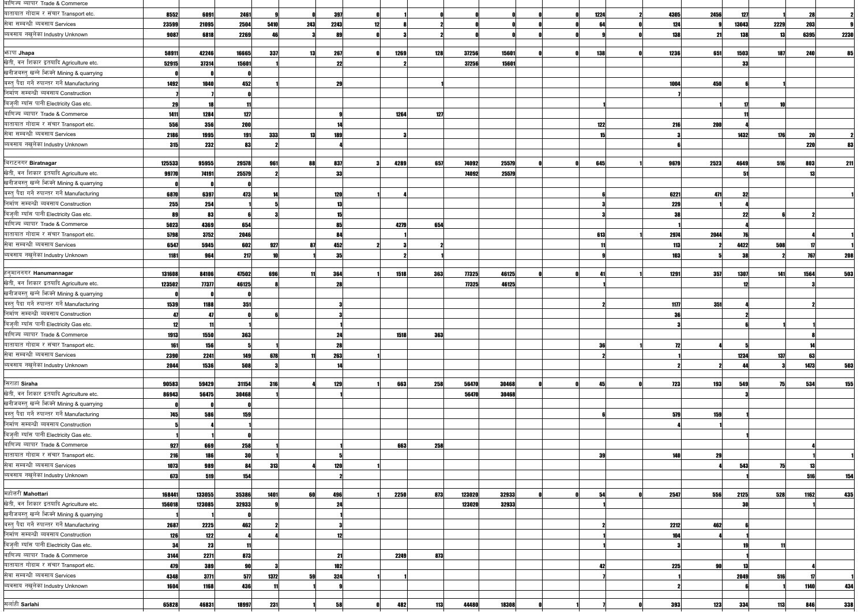| बाणिज्य ब्यापार Trade & Commerce                             |        |        |                |      |     |              |      |            |                  |                |      |            |            |            |      |            |             |
|--------------------------------------------------------------|--------|--------|----------------|------|-----|--------------|------|------------|------------------|----------------|------|------------|------------|------------|------|------------|-------------|
| यातायात गोदाम र संचार Transport etc.                         | 8552   | 6091   | 2461           |      |     | 397          |      |            |                  |                | 1224 | 4305       | 2456       | 127        |      | 28         |             |
| सेवा सम्बन्धी ब्यवसाय Services                               | 23599  | 21095  | 2504           | 5410 | 243 | 2243         |      |            |                  |                |      | 124        |            | 13043      | 2229 | 203        |             |
| व्यवसाय नखुलेका Industry Unknown                             | 9087   | 6818   | 2269           |      |     | $\mathbf{R}$ |      |            |                  |                |      | 138        |            | 138        |      | 6395       | <b>2230</b> |
| <b>भनापा Jhapa</b>                                           | 58911  | 42246  | 16665          | 337  | 13  | 267          | 1269 | <b>128</b> | 37256            | 15601          | 138  | 1236       | 651        | 1503       | 187  | 240        |             |
| खेती, वन शिकार इतयादि Agriculture etc.                       | 52915  | 37314  | 15601          |      |     | 22           |      |            | 37256            | 15601          |      |            |            | 33         |      |            |             |
| खनीजबस्तु खन्ने भिज्मे Mining & quarrying                    |        |        |                |      |     |              |      |            |                  |                |      |            |            |            |      |            |             |
| बस्त् पैदा गर्ने रुपान्तर गर्ने Manufacturing                | 1492   | 1040   | 452            |      |     | 29           |      |            |                  |                |      | 1004       | 450        |            |      |            |             |
| निर्माण सम्बन्धी ब्यवसाय Construction                        |        |        |                |      |     |              |      |            |                  |                |      |            |            |            |      |            |             |
| बिजुली ग्याँस पानी Electricity Gas etc.                      | 29     | 18     | 11             |      |     |              |      |            |                  |                |      |            |            |            |      |            |             |
| बाणिज्य ब्यापार Trade & Commerce                             | 1411   | 1284   | 127            |      |     |              | 1264 | 127        |                  |                |      |            |            |            |      |            |             |
| यातायात गोदाम र संचार Transport etc.                         | 556    | 356    | 200            |      |     |              |      |            |                  |                | 122  | 216        | <b>200</b> |            |      |            |             |
| सेवा सम्बन्धी ब्यवसाय Services                               | 2186   | 1995   | 191            | 333  |     | 189          |      |            |                  |                |      |            |            | 1432       | 176  |            |             |
| ब्यवसाय नखुलेका Industry Unknown                             |        | 232    |                |      |     |              |      |            |                  |                |      |            |            |            |      |            |             |
|                                                              | 315    |        | 83             |      |     |              |      |            |                  |                |      |            |            |            |      | <b>220</b> |             |
| बिराटनगर Biratnagar                                          | 125533 | 95955  | 29578          | 961  | 88  | 837          | 4289 | 657        | 74092            | 25579          | 645  | 9679       | 2523       | 4649       | 516  | 803        | 211         |
| खेती, वन शिकार इतयादि Agriculture etc.                       | 99770  | 74191  | 25579          |      |     | 33           |      |            | 74092            | 25579          |      |            |            |            |      |            |             |
| खनीजबस्तु खन्ने भिज्मे Mining & quarrying                    |        |        |                |      |     |              |      |            |                  |                |      |            |            |            |      |            |             |
| बस्त् पैदा गर्ने रुपान्तर गर्ने Manufacturing                | 6870   | 6397   | 473            |      |     | 120          |      |            |                  |                |      | 6221       | 471        | 32         |      |            |             |
| निर्माण सम्बन्धी ब्यवसाय Construction                        | 255    | 254    |                |      |     |              |      |            |                  |                |      | 229        |            |            |      |            |             |
| बिजुली ग्याँस पानी Electricity Gas etc.                      | 89     | 83     |                |      |     |              |      |            |                  |                |      |            |            | 22         |      |            |             |
| बाणिज्य ब्यापार Trade & Commerce                             | 5023   | 4369   | 654            |      |     | 85           | 4279 | 654        |                  |                |      |            |            |            |      |            |             |
| यातायात गोदाम र संचार Transport etc.                         | 5798   | 3752   | 2046           |      |     |              |      |            |                  |                | 613  | 2974       | 2044       |            |      |            |             |
| सेवा सम्बन्धी ब्यवसाय Services                               | 6547   | 5945   | 602            | 927  | 87  | 452          |      |            |                  |                |      | 113        |            | 4422       | 508  |            |             |
| ब्यवसाय नखुलेका Industry Unknown                             | 1181   | 964    | 217            |      |     | 35           |      |            |                  |                |      | 103        |            | 38         |      | 767        | 208         |
|                                                              |        |        |                |      |     |              |      |            |                  |                |      |            |            |            |      |            |             |
| हनुमाननगर Hanumannagar                                       | 131608 | 84106  | 47502          | 696  |     | 364          | 1518 | 363        | 77325            | 46125          | 41   | 1291       | 357        | 1307       | 141  | 1564       | 503         |
| खेती, वन शिकार इतयादि Agriculture etc.                       | 123502 | 77377  | 46125          |      |     | 21           |      |            | 77325            | 46125          |      |            |            |            |      |            |             |
| खनीजबस्तु खन्ने भिज्मे Mining & quarrying                    |        |        |                |      |     |              |      |            |                  |                |      |            |            |            |      |            |             |
| बस्त् पैदा गर्ने रुपान्तर गर्ने Manufacturing                | 1539   | 1188   | 351            |      |     |              |      |            |                  |                |      | 1177       | 351        |            |      |            |             |
| निर्माण सम्बन्धी ब्यवसाय Construction                        |        |        |                |      |     |              |      |            |                  |                |      |            |            |            |      |            |             |
| बिज़ली ग्याँस पानी Electricity Gas etc.                      |        |        |                |      |     |              |      |            |                  |                |      |            |            |            |      |            |             |
| बाणिज्य ब्यापार Trade & Commerce                             | 1913   | 1550   | 363            |      |     | 24           | 1518 | 363        |                  |                |      |            |            |            |      |            |             |
| यातायात गोदाम र संचार Transport etc.                         | 161    | 156    |                |      |     | 28           |      |            |                  |                | 36   | 72         |            |            |      |            |             |
| सेवा सम्बन्धी ब्यवसाय Services                               | 2390   | 2241   | 149            | 678  |     | 263          |      |            |                  |                |      |            |            | 1234       | 137  | 63         |             |
| ब्यवसाय नखुलेका Industry Unknown                             | 2044   | 1536   | 508            |      |     |              |      |            |                  |                |      |            |            | ΔД         |      | 1473       | 503         |
|                                                              |        |        |                |      |     |              |      |            |                  |                |      |            |            |            |      |            |             |
| सिराहा Siraha                                                | 90583  | 59429  | 31154          | 316  |     | 129          | 663  | 258        | 56470            | 30468          | 45   | <b>123</b> | 193        | 549        | 75   | 534        | 155         |
| खेती, वन शिकार इतयादि Agriculture etc.                       | 86943  | 56475  | 30468          |      |     |              |      |            | 56470            | 30468          |      |            |            |            |      |            |             |
| खनीजबस्तु खन्ने भिज्मे Mining & quarrying                    |        |        |                |      |     |              |      |            |                  |                |      |            |            |            |      |            |             |
| बस्त् पैदा गर्ने रुपान्तर गर्ने Manufacturing                | 745    | 586    | 159            |      |     |              |      |            |                  |                |      | 579        | 159        |            |      |            |             |
| निर्माण सम्बन्धी ब्यवसाय Construction                        |        |        |                |      |     |              |      |            |                  |                |      |            |            |            |      |            |             |
| बिजुली ग्याँस पानी Electricity Gas etc.                      |        |        |                |      |     |              |      |            |                  |                |      |            |            |            |      |            |             |
| बाणिज्य ब्यापार Trade & Commerce                             | 927    | 669    | 258            |      |     |              | 663  | 258        |                  |                |      |            |            |            |      |            |             |
| यातायात गोदाम र संचार Transport etc.                         | 216    | 186    | 30             |      |     |              |      |            |                  |                | 39   | <b>140</b> | 29         |            |      |            |             |
| सेवा सम्बन्धी ब्यवसाय Services                               | 1073   | 989    | 84             | 313  |     | 120          |      |            |                  |                |      |            |            | 543        |      | 15         |             |
| ब्यवसाय नखुलेका Industry Unknown                             | 673    | 519    | 154            |      |     |              |      |            |                  |                |      |            |            |            |      | 516        | 154         |
|                                                              |        |        |                |      |     |              |      |            |                  |                |      |            |            |            |      |            |             |
| महोत्तरी Mahottari<br>खेती, वन शिकार इतयादि Agriculture etc. | 168441 | 133055 | 35386<br>32933 | 1401 | 60  | 496<br>24    | 2250 | 873        | 123020<br>123020 | 32933<br>32933 | 54   | 2547       | 556        | 2125<br>30 | 528  | 1162       | 435         |
| खनीजबस्त् खन्ने भिज्मे Mining & quarrying                    | 156018 | 123085 |                |      |     |              |      |            |                  |                |      |            |            |            |      |            |             |
| बस्त् पैदा गर्ने रुपान्तर गर्ने Manufacturing                |        |        |                |      |     |              |      |            |                  |                |      |            |            |            |      |            |             |
| निर्माण सम्बन्धी ब्यवसाय Construction                        | 2687   | 2225   | 462            |      |     |              |      |            |                  |                |      | 2212       | 462        |            |      |            |             |
| बिजुली ग्याँस पानी Electricity Gas etc.                      | 126    | 122    |                |      |     |              |      |            |                  |                |      | 104        |            |            |      |            |             |
|                                                              | 34     | 23     | 11             |      |     |              |      |            |                  |                |      |            |            |            |      |            |             |
| बाणिज्य ब्यापार Trade & Commerce                             | 3144   | 2271   | 873            |      |     | 21           | 2249 | 873        |                  |                |      |            |            |            |      |            |             |
| यातायात गोदाम र संचार Transport etc.                         | 479    | 389    | 90             |      |     | 102          |      |            |                  |                | 42   | 225        |            |            |      |            |             |
| सेवा सम्बन्धी ब्यवसाय Services                               | 4348   | 3771   | 577            | 1372 | 59  | 324          |      |            |                  |                |      |            |            | 2049       | 516  |            |             |
| ब्यवसाय नखुलेका Industry Unknown                             | 1604   | 1168   | 436            |      |     |              |      |            |                  |                |      |            |            |            |      | 1140       | 434         |
| सर्लाही Sarlahi                                              | 65828  | 46831  | 18997          | 231  |     | 58           | 482  | 113        | 44480            | 18308          |      | 393        | 123        | 334        | 113  | 846        | 338         |
|                                                              |        |        |                |      |     |              |      |            |                  |                |      |            |            |            |      |            |             |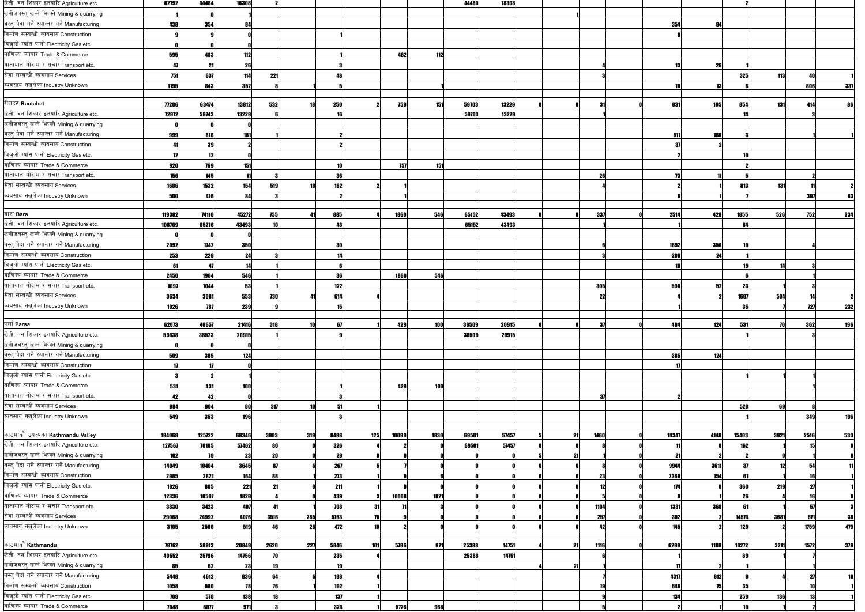| खेती, वन शिकार इतयादि Agriculture etc.        | 62792  | 44484      | 18308      |             |            |              |      | 44480 | 18308 |            |            |      |       |            |            |     |
|-----------------------------------------------|--------|------------|------------|-------------|------------|--------------|------|-------|-------|------------|------------|------|-------|------------|------------|-----|
| खनीजबस्तु खन्ने भिज्मे Mining & quarrying     |        |            |            |             |            |              |      |       |       |            |            |      |       |            |            |     |
| बस्त् पैदा गर्ने रुपान्तर गर्ने Manufacturing | 438    | 354        | 84         |             |            |              |      |       |       |            | 354        | 84   |       |            |            |     |
| निर्माण सम्बन्धी ब्यवसाय Construction         |        |            |            |             |            |              |      |       |       |            |            |      |       |            |            |     |
| बिजुली ग्याँस पानी Electricity Gas etc.       |        |            |            |             |            |              |      |       |       |            |            |      |       |            |            |     |
| बाणिज्य ब्यापार Trade & Commerce              | 595    | 483        | 112        |             |            | 482          | 112  |       |       |            |            |      |       |            |            |     |
| यातायात गोदाम र संचार Transport etc.          | 47     | 21         | 26         |             |            |              |      |       |       |            | 13         | 26   |       |            |            |     |
| सेवा सम्बन्धी ब्यवसाय Services                | 751    | 637        | 114        | 221         |            |              |      |       |       |            |            |      | 325   | <b>113</b> |            |     |
| ब्यवसाय नखुलेका Industry Unknown              | 1195   | 843        | 352        |             |            |              |      |       |       |            |            |      |       |            | 80         | 337 |
|                                               |        |            |            |             |            |              |      |       |       |            |            |      |       |            |            |     |
| रौतहट Rautahat                                | 77286  | 63474      | 13812      | 532         | 250        | 759          | 151  | 59703 | 13229 | 31         | 931        | 195  | 854   | <b>131</b> | 414        | 86  |
| खेती, वन शिकार इतयादि Agriculture etc.        | 72972  | 59743      | 13229      |             |            |              |      | 59703 | 13229 |            |            |      |       |            |            |     |
| खनीजबस्त् खन्ने फिक्ने Mining & quarrying     |        |            |            |             |            |              |      |       |       |            |            |      |       |            |            |     |
| बस्त् पैदा गर्ने रुपान्तर गर्ने Manufacturing | 999    | 818        | 181        |             |            |              |      |       |       |            | 811        | 180  |       |            |            |     |
| निर्माण सम्बन्धी ब्यवसाय Construction         | 41     | 39         |            |             |            |              |      |       |       |            | -37        |      |       |            |            |     |
| बिजुली ग्याँस पानी Electricity Gas etc.       | 12     | 12         |            |             |            |              |      |       |       |            |            |      |       |            |            |     |
| बाणिज्य ब्यापार Trade & Commerce              | 920    | 769        | 151        |             |            | 757          | 151  |       |       |            |            |      |       |            |            |     |
| यातायात गोदाम र संचार Transport etc.          | 156    | 145        |            |             | 36         |              |      |       |       | 26         | 73         |      |       |            |            |     |
| सेवा सम्बन्धी ब्यवसाय Services                | 1686   | 1532       | 154        | 519         | 182        |              |      |       |       |            |            |      | 813   | 131        |            |     |
| ब्यवसाय नखुलेका Industry Unknown              | 500    | 416        | <b>RAI</b> |             |            |              |      |       |       |            |            |      |       |            | 397        | 83  |
|                                               |        |            |            |             |            |              |      |       |       |            |            |      |       |            |            |     |
| बारा Bara                                     | 119382 | 74110      | 45272      | 755<br>41   | 885        | 1860         | 546  | 65152 | 43493 | 337        | 2514       | 428  | 1855  | 526        | <b>752</b> | 234 |
| खेती, वन शिकार इतयादि Agriculture etc.        | 108769 | 65276      | 43493      |             |            |              |      | 65152 | 43493 |            |            |      | 64    |            |            |     |
| खनीजबस्तु खन्ने भिन्को Mining & quarrying     |        |            |            |             |            |              |      |       |       |            |            |      |       |            |            |     |
| बस्त् पैदा गर्ने रुपान्तर गर्ने Manufacturing | 2092   | 1742       | 350        |             | 30         |              |      |       |       |            | 1692       | 350  |       |            |            |     |
| निर्माण सम्बन्धी ब्यवसाय Construction         | 253    | 229        | 24         |             |            |              |      |       |       |            | 208        | 24   |       |            |            |     |
| बिजुली ग्याँस पानी Electricity Gas etc.       | 61     | 47         |            |             |            |              |      |       |       |            |            |      |       |            |            |     |
| बाणिज्य ब्यापार Trade & Commerce              | 2450   | 1904       | 546        |             | 36         | 1860         | 546  |       |       |            |            |      |       |            |            |     |
| यातायात गोदाम र संचार Transport etc.          | 1097   | 1044       | 53         |             | 122        |              |      |       |       | <b>305</b> | 590        | 52   | 23    |            |            |     |
| सेवा सम्बन्धी ब्यवसाय Services                | 3634   | 3081       | 553        | 730         | 614        |              |      |       |       | 22         |            |      | 1697  | 504        |            |     |
| व्यवसाय नखुलेका Industry Unknown              | 1026   | 787        | 239        |             |            |              |      |       |       |            |            |      | 35    |            | 727        | 232 |
|                                               |        |            |            |             |            |              |      |       |       |            |            |      |       |            |            |     |
| पर्सा Parsa                                   | 62073  | 40657      | 21416      | 318         | 67         | <b>429</b>   | 100  | 38509 | 20915 | -27        | <b>ANA</b> | 124  | 531   |            | 362        | 106 |
| खेती, वन शिकार इतयादि Agriculture etc.        | 59438  | 38523      | 20915      |             |            |              |      | 38509 | 20915 |            |            |      |       |            |            |     |
| खनीजबस्तु खन्ने भिज्मे Mining & quarrying     |        |            |            |             |            |              |      |       |       |            |            |      |       |            |            |     |
| बस्त् पैदा गर्ने रुपान्तर गर्ने Manufacturing | 509    | 385        | 124        |             |            |              |      |       |       |            | 385        | 124  |       |            |            |     |
| निर्माण सम्बन्धी ब्यवसाय Construction         | 17     | 17         |            |             |            |              |      |       |       |            | 17         |      |       |            |            |     |
| बिजुली ग्याँस पानी Electricity Gas etc.       |        |            |            |             |            |              |      |       |       |            |            |      |       |            |            |     |
| बाणिज्य ब्यापार Trade & Commerce              | 531    | 431        | 100        |             |            | 429          | 100  |       |       |            |            |      |       |            |            |     |
| यातायात गोदाम र संचार Transport etc.          | 42     | 42         |            |             |            |              |      |       |       | 37         |            |      |       |            |            |     |
| सेवा सम्बन्धी ब्यवसाय Services                | 984    | 904        | 80         | 317         |            |              |      |       |       |            |            |      | 528   | 69         |            |     |
| ब्यवसाय नखुलेका Industry Unknown              | 549    | 353        | <b>196</b> |             |            |              |      |       |       |            |            |      |       |            | <b>349</b> | 196 |
| काठमाडौं उपत्यका Kathmandu Valley             | 194068 | 125722     | 68346      | 3903<br>319 | 8488       | 125<br>10099 | 1830 | 69501 | 57457 | 1460<br>21 | 14347      | 4140 | 15403 | 3921       | 2516       | 533 |
| खेती, वन शिकार इतयादि Agriculture etc.        | 127567 | 70105      | 57462      |             | <b>326</b> |              |      | 69501 | 57457 |            |            |      | 162   |            |            |     |
| खनीजबस्तु खन्ने फिक्ने Mining & quarrying     | 102    | 79         | 23         | 20          | 29         |              |      |       |       | -21        | 21         |      |       |            |            |     |
| बस्त् पैदा गर्ने रुपान्तर गर्ने Manufacturing | 14049  | 10404      | 3645       |             | 267        |              |      |       |       |            | 9944       | 3611 |       |            |            |     |
| निर्माण सम्बन्धी ब्यवसाय Construction         | 2985   | 2821       | 164        |             | 273        |              |      |       |       | 23         | 2360       | 154  | 61    |            |            |     |
| बिज़ली ग्याँस पानी Electricity Gas etc.       | 1026   | 805        | 221        | 21          | 211        |              |      |       |       | 12         | 174        |      | 360   | <b>219</b> |            |     |
| बाणिज्य ब्यापार Trade & Commerce              | 12336  | 10507      | 1829       |             | 439        | 10008        | 1821 |       |       |            |            |      | 26    |            |            |     |
| यातायात गोदाम र संचार Transport etc.          | 3830   | 3423       | 407        |             | 708        | -31          |      |       |       | 1104       | 1381       | 368  |       |            |            |     |
| सेवा सम्बन्धी ब्यवसाय Services                | 29068  | 24992      | 4076       | 3516<br>285 | 5763       |              |      |       |       | 257        | 302        |      | 14574 | 3681       | 571        | 38  |
| ब्यवसाय नखुलेका Industry Unknown              | 3105   | 2586       | 519        |             | 472<br>26  |              |      |       |       | 42         | 145        |      | 120   |            | 1759       | 479 |
|                                               |        |            |            |             |            |              |      |       |       |            |            |      |       |            |            |     |
| काठमाडौँ Kathmandu                            | 79762  | 58913      | 20849      | 2620<br>227 | 5846       | 5796<br>101  | 971  | 25388 | 14751 | 1116<br>21 | 6299       | 1188 | 10272 | 3211       | 1572       | 379 |
| खेती, वन शिकार इतयादि Agriculture etc.        | 40552  | 25796      | 14756      |             | 235        |              |      | 25388 | 14751 |            |            |      |       |            |            |     |
| खनीजबस्तु खन्ने भिज्मे Mining & quarrying     | 85     | 62         | 23         |             |            |              |      |       |       | 21         |            |      |       |            |            |     |
| बस्त् पैदा गर्ने रुपान्तर गर्ने Manufacturing | 5448   | 4612       | 836        |             | 188        |              |      |       |       |            | 4317       | 812  |       |            |            |     |
| निर्माण सम्बन्धी ब्यवसाय Construction         | 1058   | <b>980</b> | 78         |             | 192        |              |      |       |       |            | 648        | 75   | 35    |            |            |     |
| बिजुली ग्याँस पानी Electricity Gas etc.       | 708    | 570        | 138        |             | 137        |              |      |       |       |            | 134        |      | 259   | 136        |            |     |
| बाणिज्य ब्यापार Trade & Commerce              | 7048   | 6077       | 971        |             | 324        | 5726         | 968  |       |       |            |            |      |       |            |            |     |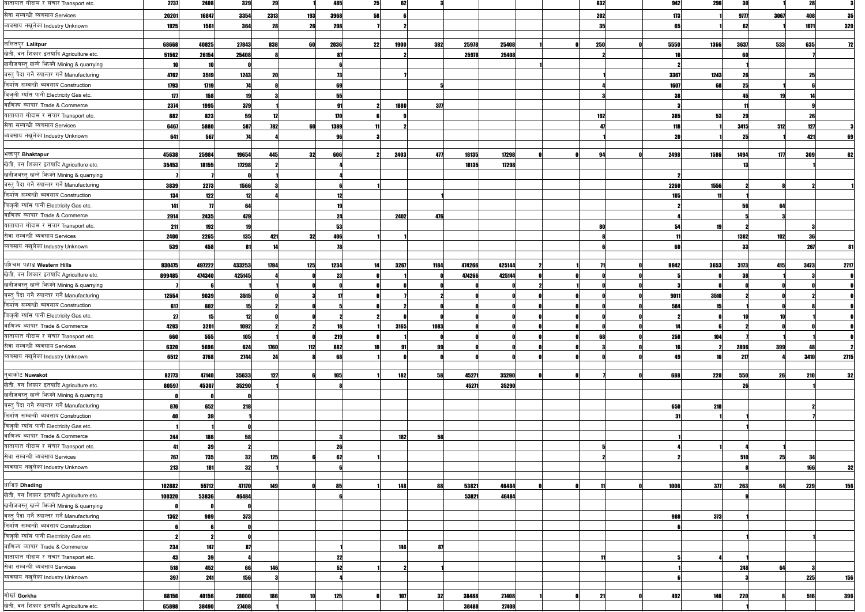| यातायात गोदाम र संचार Transport etc.          | 2737   | 2408       | 329             | 29         |     | 485        | 25 | 621  |      |        |        | 832  | 942  | 296        | -30        |      |      |      |
|-----------------------------------------------|--------|------------|-----------------|------------|-----|------------|----|------|------|--------|--------|------|------|------------|------------|------|------|------|
| सेवा सम्बन्धी ब्यवसाय Services                | 20201  | 16847      | 3354            | 2313       | 193 | 3968       | 58 |      |      |        |        | 202  | 173  |            | 9777       | 3067 | 408  | 35   |
| ब्यवसाय नखुलेका Industry Unknown              | 1925   | 1561       | 364             | 28         | 26  | 298        |    |      |      |        |        | - 35 |      |            |            |      | 1071 | 329  |
|                                               |        |            |                 |            |     |            |    |      |      |        |        |      |      |            |            |      |      |      |
| ललितपुर Lalitpur                              | 68668  | 40825      | 27843           | 838        | 60  | 2036       | 22 | 1900 | 382  | 25978  | 25408  | 250  | 5550 | 1366       | 3637       | 533  | 635  |      |
| खेती, वन शिकार इतयादि Agriculture etc.        | 51562  | 26154      | 25408           |            |     |            |    |      |      | 25978  | 25408  |      |      |            |            |      |      |      |
| खनीजबस्त् खन्ने भिज्मे Mining & quarrying     |        |            |                 |            |     |            |    |      |      |        |        |      |      |            |            |      |      |      |
| बस्त् पैदा गर्ने रुपान्तर गर्ने Manufacturing | 4762   | 3519       | 1243            |            |     | 73         |    |      |      |        |        |      | 3367 | 1243       |            |      |      |      |
| निर्माण सम्बन्धी ब्यवसाय Construction         | 1793   | 1719       |                 |            |     |            |    |      |      |        |        |      | 1607 | 68         |            |      |      |      |
| बिजुली ग्याँस पानी Electricity Gas etc.       | 177    | 158        | 19              |            |     |            |    |      |      |        |        |      |      |            |            |      |      |      |
| बाणिज्य ब्यापार Trade & Commerce              | 2374   | 1995       | 379             |            |     |            |    | 1880 | 377  |        |        |      |      |            |            |      |      |      |
| यातायात गोदाम र संचार Transport etc.          | 882    | 823        | 59              |            |     | 170        |    |      |      |        |        | 192  | 385  | 53         |            |      |      |      |
| सेवा सम्बन्धी ब्यवसाय Services                | 6467   | 5880       | 587             | <b>782</b> | 60l | 1389       |    |      |      |        |        |      | 118  |            | 3415       | 512  |      |      |
| ब्यवसाय नखुलेका Industry Unknown              | 641    | 567        |                 |            |     |            |    |      |      |        |        |      |      |            |            |      |      |      |
|                                               |        |            |                 |            |     |            |    |      |      |        |        |      |      |            |            |      |      |      |
| भक्तपुर Bhaktapur                             | 45638  | 25984      | 19654           | 445        | 32  | 606        |    | 2403 | 477  | 18135  | 17298  | 94   | 2498 | 1586       | 1494       | 177  | 309  | 821  |
| खेती, वन शिकार इतयादि Agriculture etc.        | 35453  | 18155      | 17298           |            |     |            |    |      |      | 18135  | 17298  |      |      |            |            |      |      |      |
| खनीजबस्तु खन्ने भिज्मे Mining & quarrying     |        |            |                 |            |     |            |    |      |      |        |        |      |      |            |            |      |      |      |
| बस्त् पैदा गर्ने रुपान्तर गर्ने Manufacturing | 3839   | 2273       | 1566            |            |     |            |    |      |      |        |        |      | 2260 | 1556       |            |      |      |      |
| निर्माण सम्बन्धी ब्यवसाय Construction         | 134    | 122        | 12              |            |     |            |    |      |      |        |        |      |      |            |            |      |      |      |
| बिजुली ग्याँस पानी Electricity Gas etc.       | 141    |            | 64              |            |     |            |    |      |      |        |        |      |      |            |            |      |      |      |
| बाणिज्य ब्यापार Trade & Commerce              | 2914   | 2435       | 479             |            |     | -24        |    | 2402 | 476  |        |        |      |      |            |            |      |      |      |
| यातायात गोदाम र संचार Transport etc.          | 211    | <b>192</b> | 19              |            |     | 53         |    |      |      |        |        | 80   |      |            |            |      |      |      |
| सेवा सम्बन्धी ब्यवसाय Services                | 2400   | 2265       | 135             | 421        | 32  | 406        |    |      |      |        |        |      |      |            | 1382       | 102  |      |      |
| ब्यवसाय नखुलेका Industry Unknown              | 539    | 458        |                 |            |     |            |    |      |      |        |        |      |      |            |            |      | 267  |      |
|                                               |        |            |                 |            |     |            |    |      |      |        |        |      |      |            |            |      |      |      |
| पश्चिम पहाड Western Hills                     | 930475 | 497222     | 433253          | 1794       | 125 | 1234       | 14 | 3267 | 1184 | 474266 | 425144 |      | 9942 | 3653       | 3173       | 415  | 3473 | 2717 |
| खेती, वन शिकार इतयादि Agriculture etc.        | 899485 | 474340     | 425145          |            |     |            |    |      |      | 474266 | 425144 |      |      |            |            |      |      |      |
| खनीजबस्तु खन्ने फिक्ने Mining & quarrying     |        |            |                 |            |     |            |    |      |      |        |        |      |      |            |            |      |      |      |
| बस्तु पैदा गर्ने रुपान्तर गर्ने Manufacturing | 12554  | 9039       | 3515            |            |     |            |    |      |      |        |        |      | 9011 | 3510       |            |      |      |      |
| निर्माण सम्बन्धी ब्यवसाय Construction         | 617    | 602        |                 |            |     |            |    |      |      |        |        |      | 584  |            |            |      |      |      |
| बिजुली ग्याँस पानी Electricity Gas etc.       |        |            |                 |            |     |            |    |      |      |        |        |      |      |            |            |      |      |      |
| बाणिज्य ब्यापार Trade & Commerce              | 4293   | 3201       | 1092            |            |     |            |    | 3165 | 1083 |        |        |      |      |            |            |      |      |      |
| यातायात गोदाम र संचार Transport etc.          | 660    | 555        | 105             |            |     | 219        |    |      |      |        |        | 68   | 258  | 104        |            |      |      |      |
| सेवा सम्बन्धी ब्यवसाय Services                | 6320   | 5696       | 624             | 1760       | 112 | 882        |    | 91   | 99   |        |        |      |      |            | 2896       | 399  |      |      |
| ब्यवसाय नखुलेका Industry Unknown              | 6512   | 3768       | 2744            | 24         |     | 68         |    |      |      |        |        |      |      |            | 217        |      | 3410 | 2715 |
|                                               |        |            |                 |            |     |            |    |      |      |        |        |      |      |            |            |      |      |      |
| नुवाकोट Nuwakot                               | 82773  | 47140      | 35633           | 127        |     | <b>105</b> |    | 182  | 58   | 45271  | 35290  |      | 688  | <b>220</b> | 550        | 26   | 210  | 32   |
| खेती, वन शिकार इतयादि Agriculture etc.        | 80597  | 45307      | 35290           |            |     |            |    |      |      | 45271  | 35290  |      |      |            |            |      |      |      |
| खनीजबस्तु खन्ने भिज्मे Mining & quarrying     |        |            |                 |            |     |            |    |      |      |        |        |      |      |            |            |      |      |      |
| बस्त् पैदा गर्ने रुपान्तर गर्ने Manufacturing | 870    | 652        | 218             |            |     |            |    |      |      |        |        |      | 650  | 218        |            |      |      |      |
| निर्माण सम्बन्धी ब्यवसाय Construction         |        |            |                 |            |     |            |    |      |      |        |        |      | -31  |            |            |      |      |      |
| बिजुली ग्याँस पानी Electricity Gas etc.       |        |            |                 |            |     |            |    |      |      |        |        |      |      |            |            |      |      |      |
| बाणिज्य ब्यापार Trade & Commerce              | 244    | 186        | 58              |            |     |            |    | 182  | 58   |        |        |      |      |            |            |      |      |      |
| यातायात गोदाम र संचार Transport etc.          |        | 39         |                 |            |     | 26         |    |      |      |        |        |      |      |            |            |      |      |      |
| सेवा सम्बन्धी ब्यवसाय Services                | 767    | <b>735</b> | 32 <sup>l</sup> | 125        |     | 62         |    |      |      |        |        |      |      |            | 510        | 25   | -34  |      |
| ब्यवसाय नखुलेका Industry Unknown              | 213    | 181        | 32              |            |     |            |    |      |      |        |        |      |      |            |            |      |      | 32   |
|                                               |        |            |                 |            |     |            |    |      |      |        |        |      |      |            |            |      |      |      |
| धाडिङ्ग Dhading                               | 102882 | 55712      | 47170           | 149        |     | 85         |    | 148  | 88   | 53821  | 46484  |      | 1006 | 377        | 263        | 64   | 229  | 156  |
| खेती, वन शिकार इतयादि Agriculture etc.        | 100320 | 53836      | 46484           |            |     |            |    |      |      | 53821  | 46484  |      |      |            |            |      |      |      |
| खनीजबस्त् खन्ने भिज्मे Mining & quarrying     |        |            |                 |            |     |            |    |      |      |        |        |      |      |            |            |      |      |      |
| बस्त् पैदा गर्ने रुपान्तर गर्ने Manufacturing | 1362   | 989        | 373             |            |     |            |    |      |      |        |        |      | 988  | 373        |            |      |      |      |
| निर्माण सम्बन्धी ब्यवसाय Construction         |        |            |                 |            |     |            |    |      |      |        |        |      |      |            |            |      |      |      |
| बिजुली ग्याँस पानी Electricity Gas etc.       |        |            |                 |            |     |            |    |      |      |        |        |      |      |            |            |      |      |      |
| बाणिज्य ब्यापार Trade & Commerce              | 234    | 147        |                 |            |     |            |    | 146  | 87   |        |        |      |      |            |            |      |      |      |
| यातायात गोदाम र संचार Transport etc.          | 43     | 39         |                 |            |     | 22         |    |      |      |        |        | 11   |      |            |            |      |      |      |
| सेवा सम्बन्धी ब्यवसाय Services                | 518    | 452        |                 | 146        |     | 52         |    |      |      |        |        |      |      |            | 248        | 64   |      |      |
| ब्यवसाय नखुलेका Industry Unknown              | 397    | 241        | 156             |            |     |            |    |      |      |        |        |      |      |            |            |      | 225  | 156  |
|                                               |        |            |                 |            |     |            |    |      |      |        |        |      |      |            |            |      |      |      |
| गोर्खा Gorkha                                 | 68156  | 40156      | 28000           | 186        |     | 125        |    | 107  | 32   | 38488  | 27408  | 21   | 492  | 146        | <b>220</b> |      | 516  | 396  |
| खेती, वन शिकार इतयादि Agriculture etc.        | 65898  | 38490      | 27408           |            |     |            |    |      |      | 38488  | 27408  |      |      |            |            |      |      |      |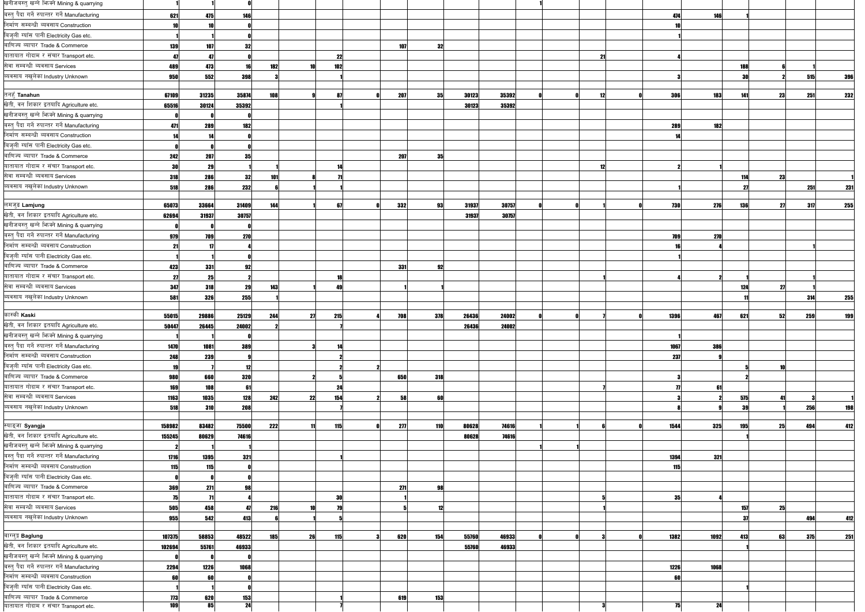| खनीजबस्तु खन्ने भिज्मे Mining & quarrying                                              |            |                 |                 |            |    |     |            |     |       |       |                  |            |      |     |    |     |     |
|----------------------------------------------------------------------------------------|------------|-----------------|-----------------|------------|----|-----|------------|-----|-------|-------|------------------|------------|------|-----|----|-----|-----|
| बस्त् पैदा गर्ने रुपान्तर गर्ने Manufacturing                                          | 621        | 475             | <b>146</b>      |            |    |     |            |     |       |       |                  | 474        | 146  |     |    |     |     |
| निर्माण सम्बन्धी ब्यवसाय Construction                                                  |            |                 |                 |            |    |     |            |     |       |       |                  |            |      |     |    |     |     |
| बिजुली ग्याँस पानी Electricity Gas etc.                                                |            |                 |                 |            |    |     |            |     |       |       |                  |            |      |     |    |     |     |
| बाणिज्य ब्यापार Trade & Commerce                                                       | <b>139</b> | 107             | -321            |            |    |     | 107        | 32  |       |       |                  |            |      |     |    |     |     |
| यातायात गोदाम र संचार Transport etc.                                                   |            | Æ               |                 |            |    | 22  |            |     |       |       | - 21             |            |      |     |    |     |     |
| सेवा सम्बन्धी ब्यवसाय Services                                                         | 489        | 473             |                 | 182        |    | 102 |            |     |       |       |                  |            |      | 188 |    |     |     |
| ब्यवसाय नखुलेका Industry Unknown                                                       | 950        | 552             | 398             |            |    |     |            |     |       |       |                  |            |      |     |    | 515 | 396 |
|                                                                                        |            |                 |                 |            |    |     |            |     |       |       |                  |            |      |     |    |     |     |
| तनहूँ Tanahun                                                                          | 67109      | 31235           | 35874           | 108        |    | -87 | 207        | 35  | 30123 | 35392 | 12               | 306        | 183  | 141 | 23 | 251 | 232 |
| खेती, वन शिकार इतयादि Agriculture etc.                                                 | 65516      | 30124           | 35392           |            |    |     |            |     | 30123 | 35392 |                  |            |      |     |    |     |     |
| खनीजबस्त् खन्ने फिक्ने Mining & quarrying                                              |            |                 |                 |            |    |     |            |     |       |       |                  |            |      |     |    |     |     |
| बस्त् पैदा गर्ने रुपान्तर गर्ने Manufacturing                                          | 471        | 289             | <b>182</b>      |            |    |     |            |     |       |       |                  | 289        | 182  |     |    |     |     |
| निर्माण सम्बन्धी ब्यवसाय Construction                                                  |            |                 |                 |            |    |     |            |     |       |       |                  |            |      |     |    |     |     |
| बिजुली ग्याँस पानी Electricity Gas etc.                                                |            |                 |                 |            |    |     |            |     |       |       |                  |            |      |     |    |     |     |
| बाणिज्य ब्यापार Trade & Commerce                                                       | 242        | 207             | 351             |            |    |     | <b>207</b> | -35 |       |       |                  |            |      |     |    |     |     |
| यातायात गोदाम र संचार Transport etc.                                                   | 21         | 29              |                 |            |    |     |            |     |       |       | 12 <sub>12</sub> |            |      |     |    |     |     |
| सेवा सम्बन्धी ब्यवसाय Services                                                         | 318        | 286             | -321            | 101        |    |     |            |     |       |       |                  |            |      | 114 | 23 |     |     |
| ब्यवसाय नखुलेका Industry Unknown                                                       | 518        | 286             | 232             |            |    |     |            |     |       |       |                  |            |      |     |    | 251 | 231 |
|                                                                                        |            |                 |                 |            |    |     |            |     |       |       |                  |            |      |     |    |     |     |
| लमजुङ Lamjung                                                                          | 65073      | 33664           | 31409           | 144        |    | 67  | 332        | 93  | 31937 | 30757 |                  | <b>730</b> | 276  | 136 | 27 | 317 | 255 |
| खेती, वन शिकार इतयादि Agriculture etc.                                                 | 62694      | 31937           | 30757           |            |    |     |            |     | 31937 | 30757 |                  |            |      |     |    |     |     |
| खनीजबस्तु खन्ने भिज्मे Mining & quarrying                                              |            |                 |                 |            |    |     |            |     |       |       |                  |            |      |     |    |     |     |
| बस्त् पैदा गर्ने रुपान्तर गर्ने Manufacturing                                          | 979        |                 | <b>270</b>      |            |    |     |            |     |       |       |                  | 709        | 270  |     |    |     |     |
| निर्माण सम्बन्धी ब्यवसाय Construction                                                  |            | 709             |                 |            |    |     |            |     |       |       |                  |            |      |     |    |     |     |
| बिजुली ग्याँस पानी Electricity Gas etc.                                                | -21        |                 |                 |            |    |     |            |     |       |       |                  |            |      |     |    |     |     |
| बाणिज्य ब्यापार Trade & Commerce                                                       |            |                 |                 |            |    |     |            |     |       |       |                  |            |      |     |    |     |     |
|                                                                                        | 423        | 331             | 92              |            |    |     | 331        | 92  |       |       |                  |            |      |     |    |     |     |
| यातायात गोदाम र संचार Transport etc.<br>सेवा सम्बन्धी ब्यवसाय Services                 | -21        | 25              |                 |            |    |     |            |     |       |       |                  |            |      |     |    |     |     |
|                                                                                        | 347        | 318             | 29              | 143        |    | 49  |            |     |       |       |                  |            |      | 124 | 27 |     |     |
| ब्यवसाय नखुलेका Industry Unknown                                                       | 581        | 326             | 255             |            |    |     |            |     |       |       |                  |            |      |     |    | 314 | 255 |
| कास्की Kaski                                                                           |            |                 |                 |            |    |     |            |     |       |       |                  |            |      |     |    |     |     |
| खेती, वन शिकार इतयादि Agriculture etc.                                                 | 55015      | 29886           | 25129           | 244        | 27 | 215 | 708        | 378 | 26436 | 24002 |                  | 1396       | 467  | 621 | 52 | 259 | 199 |
| खनीजबस्त् खन्ने भिग्क्ने Mining & quarrying                                            | 50447      | 26445           | 24002           |            |    |     |            |     | 26436 | 24002 |                  |            |      |     |    |     |     |
|                                                                                        |            |                 |                 |            |    |     |            |     |       |       |                  |            |      |     |    |     |     |
| बस्त् पैदा गर्ने रुपान्तर गर्ने Manufacturing<br>निर्माण सम्बन्धी ब्यवसाय Construction | 1470       | 1081            | 389             |            |    |     |            |     |       |       |                  | 1067       | 386  |     |    |     |     |
|                                                                                        | <b>248</b> | 239             |                 |            |    |     |            |     |       |       |                  | 237        |      |     |    |     |     |
| बिजुली ग्याँस पानी Electricity Gas etc.                                                |            |                 | 12              |            |    |     |            |     |       |       |                  |            |      |     |    |     |     |
| बाणिज्य ब्यापार Trade & Commerce                                                       | 980        | 660             | 320             |            |    |     | 650        | 318 |       |       |                  |            |      |     |    |     |     |
| यातायात गोदाम र संचार Transport etc.                                                   | 169        | 108             | -61             |            |    | 24  |            |     |       |       |                  |            | 61   |     |    |     |     |
| सेवा सम्बन्धी ब्यवसाय Services                                                         | 1163       | 1035            | 128             | 242        | 22 | 154 | 58         | 60  |       |       |                  |            |      | 575 | 41 |     |     |
| ब्यवसाय नखुलेका Industry Unknown                                                       | 518        | 310             | 208             |            |    |     |            |     |       |       |                  |            |      | 3   |    | 256 | 198 |
|                                                                                        |            |                 |                 |            |    |     |            |     |       |       |                  |            |      |     |    |     |     |
| स्याङ्जा Syangja                                                                       | 158982     | 83482           | 75500           | 222        |    | 115 | 277        | 110 | 80628 | 74616 |                  | 1544       | 325  | 195 | 25 | 494 | 412 |
| खेती, वन शिकार इतयादि Agriculture etc.                                                 | 155245     | 80629           | 74616           |            |    |     |            |     | 80628 | 74616 |                  |            |      |     |    |     |     |
| खनीजबस्तु खन्ने फिक्ने Mining & quarrying                                              |            |                 |                 |            |    |     |            |     |       |       |                  |            |      |     |    |     |     |
| बस्त् पैदा गर्ने रुपान्तर गर्ने Manufacturing                                          | 1716       | 1395            | 321             |            |    |     |            |     |       |       |                  | 1394       | 321  |     |    |     |     |
| निर्माण सम्बन्धी ब्यवसाय Construction                                                  | 115        | 115             |                 |            |    |     |            |     |       |       |                  | 115        |      |     |    |     |     |
| बिजुली ग्याँस पानी Electricity Gas etc.                                                |            |                 |                 |            |    |     |            |     |       |       |                  |            |      |     |    |     |     |
| बाणिज्य ब्यापार Trade & Commerce                                                       | 369        | 271             | 98              |            |    |     | 271        | 98  |       |       |                  |            |      |     |    |     |     |
| यातायात गोदाम र संचार Transport etc.                                                   |            |                 |                 |            |    | 30  |            |     |       |       |                  | 35         |      |     |    |     |     |
| सेवा सम्बन्धी ब्यवसाय Services                                                         | 505        | 458             |                 | <b>216</b> |    |     |            | 12  |       |       |                  |            |      | 157 | 25 |     |     |
| ब्यवसाय नखुलेका Industry Unknown                                                       | <b>955</b> | 542             | 413             |            |    |     |            |     |       |       |                  |            |      |     |    | 494 | 412 |
|                                                                                        |            |                 |                 |            |    |     |            |     |       |       |                  |            |      |     |    |     |     |
| बाग्लुङ्ग Baglung                                                                      | 107375     | 58853           | 48522           | 185        | 26 | 115 | 620        | 154 | 55760 | 46933 |                  | 1382       | 1092 | 413 | 63 | 375 | 251 |
| खेती, वन शिकार इतयादि Agriculture etc.                                                 | 102694     | 55761           | 46933           |            |    |     |            |     | 55760 | 46933 |                  |            |      |     |    |     |     |
| खनीजबस्तु खन्ने भिज्मे Mining & quarrying                                              |            |                 |                 |            |    |     |            |     |       |       |                  |            |      |     |    |     |     |
| बस्त् पैदा गर्ने रुपान्तर गर्ने Manufacturing                                          | 2294       | 1226            | 1068            |            |    |     |            |     |       |       |                  | 1226       | 1068 |     |    |     |     |
| निर्माण सम्बन्धी ब्यवसाय Construction                                                  |            | 60              |                 |            |    |     |            |     |       |       |                  | 60         |      |     |    |     |     |
| बिजुली ग्याँस पानी Electricity Gas etc.                                                |            |                 |                 |            |    |     |            |     |       |       |                  |            |      |     |    |     |     |
| बाणिज्य ब्यापार Trade & Commerce                                                       | 773        | 620             | 153             |            |    |     | 619        | 153 |       |       |                  |            |      |     |    |     |     |
| यातायात गोदाम र संचार Transport etc.                                                   | 109        | $\overline{85}$ | $\overline{24}$ |            |    |     |            |     |       |       |                  |            | 24   |     |    |     |     |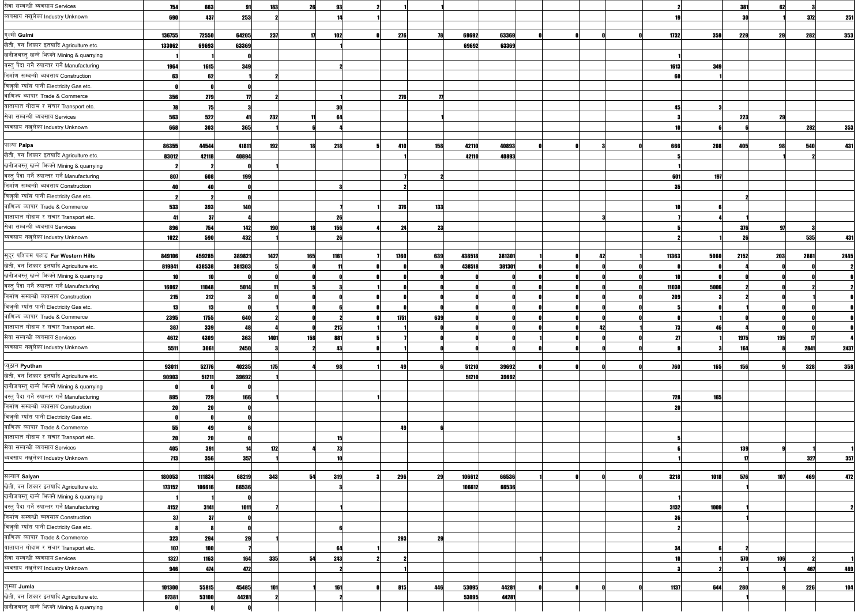| सेवा सम्बन्धी ब्यवसाय Services                | 754        | 663    | -91        | 183  | 26   | 93           |      |     |        |        |    |       |      | 381        | 62  |      |      |
|-----------------------------------------------|------------|--------|------------|------|------|--------------|------|-----|--------|--------|----|-------|------|------------|-----|------|------|
| ब्यवसाय नखुलेका Industry Unknown              | 690        | 437    | 253        |      |      |              |      |     |        |        |    |       |      | -30        |     | 372  | 251  |
|                                               |            |        |            |      |      |              |      |     |        |        |    |       |      |            |     |      |      |
| गल्मी Gulmi                                   | 136755     | 72550  | 64205      | 237  | -171 | 102          | 276  | 78  | 69692  | 63369  |    | 1732  | 359  | 229        | 29  | 282  | 353  |
| खेती, वन शिकार इतयादि Agriculture etc.        | 133062     | 69693  | 63369      |      |      |              |      |     | 69692  | 63369  |    |       |      |            |     |      |      |
| खनीजबस्त् खन्ने भिज्मे Mining & quarrying     |            |        |            |      |      |              |      |     |        |        |    |       |      |            |     |      |      |
| बस्त् पैदा गर्ने रुपान्तर गर्ने Manufacturing | 1964       | 1615   | 349        |      |      |              |      |     |        |        |    | 1613  | 349  |            |     |      |      |
| निर्माण सम्बन्धी ब्यवसाय Construction         | 63         |        |            |      |      |              |      |     |        |        |    |       |      |            |     |      |      |
| बिजुली ग्याँस पानी Electricity Gas etc.       |            |        |            |      |      |              |      |     |        |        |    |       |      |            |     |      |      |
| बाणिज्य ब्यापार Trade & Commerce              | <b>356</b> | 279    |            |      |      |              | 276  |     |        |        |    |       |      |            |     |      |      |
| यातायात गोदाम र संचार Transport etc.          |            | 75     |            |      |      | 30           |      |     |        |        |    |       |      |            |     |      |      |
| सेवा सम्बन्धी ब्यवसाय Services                | 563        | 522    | 41         | 232  |      | 64           |      |     |        |        |    |       |      | <b>223</b> | 29  |      |      |
| ब्यवसाय नखुलेका Industry Unknown              | 668        | 303    | 365        |      |      |              |      |     |        |        |    |       |      |            |     | 282  | 353  |
|                                               |            |        |            |      |      |              |      |     |        |        |    |       |      |            |     |      |      |
| पाल्पा Palpa                                  | 86355      | 44544  | 41811      | 192  |      | <b>218</b>   | 410  | 158 | 42110  | 40893  |    | 666   | 208  | 405        | 98  | 540  | 431  |
| खेती, वन शिकार इतयादि Agriculture etc.        | 83012      | 42118  | 40894      |      |      |              |      |     | 42110  | 40893  |    |       |      |            |     |      |      |
| खनीजबस्त् खन्ने भिज्मे Mining & quarrying     |            |        |            |      |      |              |      |     |        |        |    |       |      |            |     |      |      |
| बस्तु पैदा गर्ने रुपान्तर गर्ने Manufacturing | 807        | 608    | 199        |      |      |              |      |     |        |        |    | 601   | 197  |            |     |      |      |
| निर्माण सम्बन्धी ब्यवसाय Construction         | 40         | 40     |            |      |      |              |      |     |        |        |    | 35    |      |            |     |      |      |
| बिजुली ग्याँस पानी Electricity Gas etc.       |            |        |            |      |      |              |      |     |        |        |    |       |      |            |     |      |      |
| बाणिज्य ब्यापार Trade & Commerce              | 533        | 393    | 140        |      |      |              | 376  | 133 |        |        |    |       |      |            |     |      |      |
| यातायात गोदाम र संचार Transport etc.          |            | -37    |            |      |      | 26           |      |     |        |        |    |       |      |            |     |      |      |
| सेवा सम्बन्धी ब्यवसाय Services                | 896        | 754    | 142        | 190  |      | 156          | 24   | 23  |        |        |    |       |      | 376        | 97  |      |      |
| ब्यवसाय नखुलेका Industry Unknown              | 1022       | 590    | 432        |      |      | 26           |      |     |        |        |    |       |      |            |     | 535  | 431  |
|                                               |            |        |            |      |      |              |      |     |        |        |    |       |      |            |     |      |      |
| सुदूर पश्चिम पहाड Far Western Hills           | 849106     | 459285 | 389821     | 1427 | 165  | 1161         | 1760 | 639 | 438518 | 381301 | 42 | 11363 | 5060 | 2152       | 203 | 2861 | 2445 |
| खेती, वन शिकार इतयादि Agriculture etc.        | 819841     | 438538 | 381303     |      |      |              |      |     | 438518 | 381301 |    |       |      |            |     |      |      |
| खनीजबस्तु खन्ने भिज्मे Mining & quarrying     |            |        |            |      |      |              |      |     |        |        |    |       |      |            |     |      |      |
| बस्त् पैदा गर्ने रुपान्तर गर्ने Manufacturing | 16062      | 11048  | 5014       |      |      |              |      |     |        |        |    | 11030 | 5006 |            |     |      |      |
| निर्माण सम्बन्धी ब्यवसाय Construction         | 215        | 212    |            |      |      |              |      |     |        |        |    | 209   |      |            |     |      |      |
| बिजुली ग्याँस पानी Electricity Gas etc.       |            | 13     |            |      |      |              |      |     |        |        |    |       |      |            |     |      |      |
| बाणिज्य ब्यापार Trade & Commerce              | 2395       | 1755   | 640        |      |      |              | 1751 | 639 |        |        |    |       |      |            |     |      |      |
| यातायात गोदाम र संचार Transport etc.          | 387<br>vv, | 339    | 48         |      |      | 215<br>2. IU |      |     |        |        |    |       |      |            |     |      |      |
| सेवा सम्बन्धी ब्यवसाय Services                | 4672       | 4309   | 363        | 1401 | 158  | 881          |      |     |        |        |    |       |      | 1975       | 195 |      |      |
| ब्यवसाय नखुलेका Industry Unknown              | 5511       | 3061   | 2450       |      |      | 43           |      |     |        |        |    |       |      | 164        |     | 2841 | 2437 |
|                                               |            |        |            |      |      |              |      |     |        |        |    |       |      |            |     |      |      |
| प्यूठान Pyuthan                               | 93011      | 52776  | 40235      | 175  |      | 98           | 49   |     | 51210  | 39692  |    | 760   | 165  | <b>156</b> |     | 328  | 358  |
| खेती, वन शिकार इतयादि Agriculture etc.        | 90903      | 51211  | 39692      |      |      |              |      |     | 51210  | 39692  |    |       |      |            |     |      |      |
| खनीजबस्तु खन्ने फिक्ने Mining & quarrying     |            |        |            |      |      |              |      |     |        |        |    |       |      |            |     |      |      |
| बस्त् पैदा गर्ने रुपान्तर गर्ने Manufacturing | 895        | 729    | <b>166</b> |      |      |              |      |     |        |        |    | 728   | 165  |            |     |      |      |
| निर्माण सम्बन्धी ब्यवसाय Construction         | 20         | 20     |            |      |      |              |      |     |        |        |    |       |      |            |     |      |      |
| बिजुली ग्याँस पानी Electricity Gas etc.       |            |        |            |      |      |              |      |     |        |        |    |       |      |            |     |      |      |
| बाणिज्य ब्यापार Trade & Commerce              | 55         | 49     |            |      |      |              | 49   |     |        |        |    |       |      |            |     |      |      |
| यातायात गोदाम र संचार Transport etc.          | 20         | 20     |            |      |      | 15           |      |     |        |        |    |       |      |            |     |      |      |
| सेवा सम्बन्धी ब्यवसाय Services                | 405        | 391    | 14         | 172  |      | 73           |      |     |        |        |    |       |      | 139        |     |      |      |
| ब्यवसाय नखुलेका Industry Unknown              | 713        | 356    | 357        |      |      |              |      |     |        |        |    |       |      |            |     | 327  | 357  |
|                                               |            |        |            |      |      |              |      |     |        |        |    |       |      |            |     |      |      |
| सल्यान Salyan                                 | 180053     | 111834 | 68219      | 343  | 54   | 319          | 296  | 29  | 106612 | 66536  |    | 3218  | 1018 | <b>576</b> | 107 | 469  | 472  |
| खेती, वन शिकार इतयादि Agriculture etc.        | 173152     | 106616 | 66536      |      |      |              |      |     | 106612 | 66536  |    |       |      |            |     |      |      |
| खनीजबस्तु खन्ने भिज्मे Mining & quarrying     |            |        |            |      |      |              |      |     |        |        |    |       |      |            |     |      |      |
| बस्तु पैदा गर्ने रुपान्तर गर्ने Manufacturing | 4152       | 3141   | 1011       |      |      |              |      |     |        |        |    | 3132  | 1009 |            |     |      |      |
| निर्माण सम्बन्धी ब्यवसाय Construction         | 37         | 37     |            |      |      |              |      |     |        |        |    |       |      |            |     |      |      |
| बिजुली ग्याँस पानी Electricity Gas etc.       |            |        |            |      |      |              |      |     |        |        |    |       |      |            |     |      |      |
| बाणिज्य ब्यापार Trade & Commerce              | 323        | 294    | 29         |      |      |              | 293  | 29  |        |        |    |       |      |            |     |      |      |
| यातायात गोदाम र संचार Transport etc.          | <b>107</b> | 100    |            |      |      | 64           |      |     |        |        |    | 34    |      |            |     |      |      |
| सेवा सम्बन्धी ब्यवसाय Services                | 1327       | 1163   | 164        | 335  | 54   | 243          |      |     |        |        |    |       |      | 570        | 106 |      |      |
| ब्यवसाय नखुलेका Industry Unknown              | 946        | 474    | 472        |      |      |              |      |     |        |        |    |       |      |            |     | 467  | 469  |
|                                               |            |        |            |      |      |              |      |     |        |        |    |       |      |            |     |      |      |
| जुम्ला Jumla                                  | 101300     | 55815  | 45485      | 101  |      | 161          | 815  | 446 | 53095  | 44281  |    | 1137  | 644  | <b>280</b> |     | 226  | 104  |
| खेती, वन शिकार इतयादि Agriculture etc.        | 97381      | 53100  | 44281      |      |      |              |      |     | 53095  | 44281  |    |       |      |            |     |      |      |
| खनीजबस्त् खन्ने भिन्को Mining & quarrying     |            |        |            |      |      |              |      |     |        |        |    |       |      |            |     |      |      |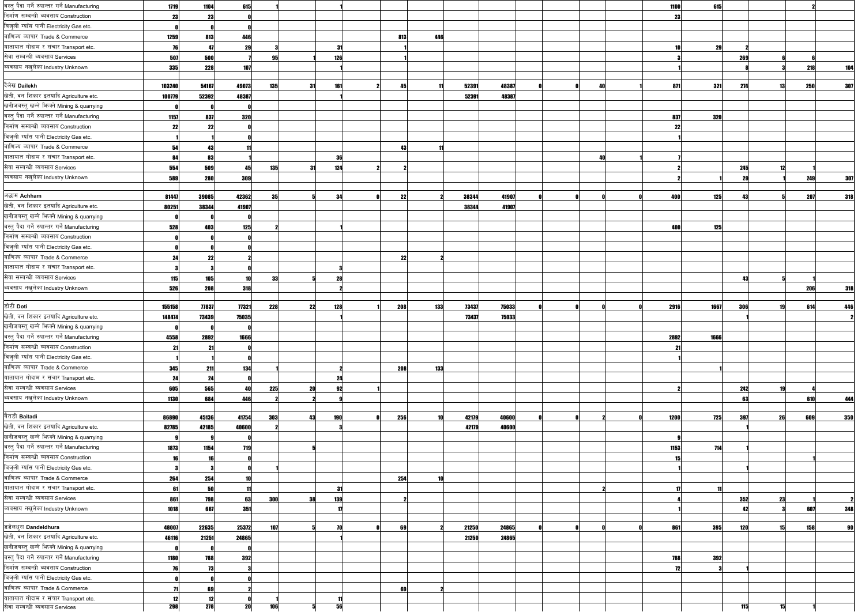| बस्त् पैदा गर्ने रुपान्तर गर्ने Manufacturing | 1719       | 1104       | 615        |            |     |            |     |     |       |       |  |    | 1100 | 615               |            |    |     |     |
|-----------------------------------------------|------------|------------|------------|------------|-----|------------|-----|-----|-------|-------|--|----|------|-------------------|------------|----|-----|-----|
| निर्माण सम्बन्धी ब्यवसाय Construction         | 23         | 23         |            |            |     |            |     |     |       |       |  |    |      | 23                |            |    |     |     |
| बिजुली ग्याँस पानी Electricity Gas etc.       |            |            |            |            |     |            |     |     |       |       |  |    |      |                   |            |    |     |     |
| बाणिज्य ब्यापार Trade & Commerce              | 1259       | 813        | 446        |            |     |            | 813 | 446 |       |       |  |    |      |                   |            |    |     |     |
| यातायात गोदाम र संचार Transport etc.          | 76         | 47         | 29         |            |     | -31        |     |     |       |       |  |    |      | 29                |            |    |     |     |
| सेवा सम्बन्धी ब्यवसाय Services                | 507        | 500        |            | 9.         |     | 126        |     |     |       |       |  |    |      |                   | 269        |    |     |     |
| ब्यवसाय नखुलेका Industry Unknown              | 335        | 228        | 107        |            |     |            |     |     |       |       |  |    |      |                   |            |    | 218 | 104 |
|                                               |            |            |            |            |     |            |     |     |       |       |  |    |      |                   |            |    |     |     |
| दैलेख Dailekh                                 | 103240     | 54167      | 49073      | <b>135</b> | -31 | 161        | 45  |     | 52391 | 48387 |  | 40 |      | 321<br>871        | 274        | 13 | 250 | 307 |
| खेती, वन शिकार इतयादि Agriculture etc.        | 100779     | 52392      | 48387      |            |     |            |     |     | 52391 | 48387 |  |    |      |                   |            |    |     |     |
| खनीजबस्त् खन्ने भिन्क्ने Mining & quarrying   |            |            |            |            |     |            |     |     |       |       |  |    |      |                   |            |    |     |     |
| बस्त् पैदा गर्ने रुपान्तर गर्ने Manufacturing | 1157       | 837        | <b>320</b> |            |     |            |     |     |       |       |  |    |      | 320<br>837        |            |    |     |     |
| निर्माण सम्बन्धी ब्यवसाय Construction         | 22         | 22         |            |            |     |            |     |     |       |       |  |    |      | 22                |            |    |     |     |
| बिजुली ग्याँस पानी Electricity Gas etc.       |            |            |            |            |     |            |     |     |       |       |  |    |      |                   |            |    |     |     |
| बाणिज्य ब्यापार Trade & Commerce              | 54         | 43         |            |            |     |            | 43  |     |       |       |  |    |      |                   |            |    |     |     |
| यातायात गोदाम र संचार Transport etc.          | 84         | 83         |            |            |     | 36         |     |     |       |       |  | 41 |      |                   |            |    |     |     |
| सेवा सम्बन्धी ब्यवसाय Services                | 554        | 509        | 45         | 135        | 31  | 124        |     |     |       |       |  |    |      |                   | 245        | 12 |     |     |
| ब्यवसाय नखुलेका Industry Unknown              | 589        | 280        | 309        |            |     |            |     |     |       |       |  |    |      |                   |            |    | 249 | 307 |
|                                               |            |            |            |            |     |            |     |     |       |       |  |    |      |                   |            |    |     |     |
| अछाम Achham                                   | 81447      | 39085      | 42362      | 35         |     | 34         | 22  |     | 38344 | 41907 |  |    |      | 400<br>125        |            |    | 207 | 318 |
| खेती, वन शिकार इतयादि Agriculture etc.        | 80251      | 38344      | 41907      |            |     |            |     |     | 38344 | 41907 |  |    |      |                   |            |    |     |     |
| खनीजबस्तु खन्ने भिज्मे Mining & quarrying     |            |            |            |            |     |            |     |     |       |       |  |    |      |                   |            |    |     |     |
| बस्तु पैदा गर्ने रुपान्तर गर्ने Manufacturing | 528        | 403        | 125        |            |     |            |     |     |       |       |  |    | 400  | 125               |            |    |     |     |
| निर्माण सम्बन्धी ब्यवसाय Construction         |            |            |            |            |     |            |     |     |       |       |  |    |      |                   |            |    |     |     |
| बिजुली ग्याँस पानी Electricity Gas etc.       |            |            |            |            |     |            |     |     |       |       |  |    |      |                   |            |    |     |     |
| बाणिज्य ब्यापार Trade & Commerce              |            |            |            |            |     |            |     |     |       |       |  |    |      |                   |            |    |     |     |
| यातायात गोदाम र संचार Transport etc.          | 24         | 22         |            |            |     |            | 22  |     |       |       |  |    |      |                   |            |    |     |     |
| सेवा सम्बन्धी ब्यवसाय Services                |            |            |            |            |     |            |     |     |       |       |  |    |      |                   |            |    |     |     |
|                                               | 115        | 105        | 10         | 33         |     | 28         |     |     |       |       |  |    |      |                   | 43         |    |     |     |
| ब्यवसाय नखुलेका Industry Unknown              | 526        | 208        | 318        |            |     |            |     |     |       |       |  |    |      |                   |            |    | 206 | 318 |
| डोटी Doti                                     | 155158     | 77837      | 77321      | 228        | 22  | 128        | 208 | 133 | 73437 | 75033 |  |    | 2916 | 1667              | 306        |    | 614 | 446 |
| खेती, वन शिकार इतयादि Agriculture etc.        | 148474     | 73439      | 75035      |            |     |            |     |     | 73437 | 75033 |  |    |      |                   |            |    |     |     |
| खनीजबस्तु खन्ने भिज्क्ने Mining & quarrying   |            |            |            |            |     |            |     |     |       |       |  |    |      |                   |            |    |     |     |
| बस्त् पैदा गर्ने रुपान्तर गर्ने Manufacturing |            |            |            |            |     |            |     |     |       |       |  |    |      |                   |            |    |     |     |
| निर्माण सम्बन्धी ब्यवसाय Construction         | 4558       | 2892       | 1666       |            |     |            |     |     |       |       |  |    | 2892 | 1666              |            |    |     |     |
| बिजुली ग्याँस पानी Electricity Gas etc.       | 21         | -21        |            |            |     |            |     |     |       |       |  |    |      | -21               |            |    |     |     |
| बाणिज्य ब्यापार Trade & Commerce              |            |            |            |            |     |            |     |     |       |       |  |    |      |                   |            |    |     |     |
|                                               | 345        | 211        | 134        |            |     |            | 208 | 133 |       |       |  |    |      |                   |            |    |     |     |
| यातायात गोदाम र संचार Transport etc.          | 24         | 24         |            |            |     | 24         |     |     |       |       |  |    |      |                   |            |    |     |     |
| सेवा सम्बन्धी ब्यवसाय Services                | 605        | 565        | 40         | 225        | 20  | 92         |     |     |       |       |  |    |      |                   | 242        |    |     |     |
| ब्यवसाय नखुलेका Industry Unknown              | 1130       | 684        | 446        |            |     |            |     |     |       |       |  |    |      |                   | 63         |    | 610 | 444 |
| बैतडी Baitadi                                 |            |            |            |            |     |            |     | 10  |       |       |  |    |      |                   |            |    |     |     |
| खेती, वन शिकार इतयादि Agriculture etc.        | 86890      | 45136      | 41754      | 303        | 43  | <b>190</b> | 256 |     | 42179 | 40600 |  |    | 1200 | 725               | 397        | 26 | 609 | 350 |
| खनीजबस्त् खन्ने भिन्क्ने Mining & quarrying   | 82785      | 42185      | 40600      |            |     |            |     |     | 42179 | 40600 |  |    |      |                   |            |    |     |     |
| बस्त् पैदा गर्ने रुपान्तर गर्ने Manufacturing |            |            |            |            |     |            |     |     |       |       |  |    |      |                   |            |    |     |     |
| निर्माण सम्बन्धी ब्यवसाय Construction         | 1873       | 1154       | <b>719</b> |            |     |            |     |     |       |       |  |    |      | 1153<br>714       |            |    |     |     |
|                                               |            | 16         |            |            |     |            |     |     |       |       |  |    |      |                   |            |    |     |     |
| बिजुली ग्याँस पानी Electricity Gas etc.       |            |            |            |            |     |            |     |     |       |       |  |    |      |                   |            |    |     |     |
| बाणिज्य ब्यापार Trade & Commerce              | 264        | 254        | 10         |            |     |            | 254 | 10  |       |       |  |    |      |                   |            |    |     |     |
| यातायात गोदाम र संचार Transport etc.          | 61         | 50         |            |            |     | - 31       |     |     |       |       |  |    |      |                   |            |    |     |     |
| सेवा सम्बन्धी ब्यवसाय Services                | 861        | 798        | 63         | 300        | 38  | 139        |     |     |       |       |  |    |      |                   | 352        | 23 |     |     |
| ब्यवसाय नखुलेका Industry Unknown              | 1018       | 667        | 351        |            |     |            |     |     |       |       |  |    |      |                   | 42         |    | 607 | 348 |
|                                               |            |            |            |            |     |            |     |     |       |       |  |    |      |                   |            |    |     |     |
| डडेलधुरा Dandeldhura                          | 48007      | 22635      | 25372      | 107        |     | 70         | 69  |     | 21250 | 24865 |  |    |      | 861<br><b>395</b> | <b>120</b> | 15 | 158 |     |
| खेती, वन शिकार इतयादि Agriculture etc.        | 46116      | 21251      | 24865      |            |     |            |     |     | 21250 | 24865 |  |    |      |                   |            |    |     |     |
| खनीजबस्तु खन्ने भिज्मे Mining & quarrying     |            |            |            |            |     |            |     |     |       |       |  |    |      |                   |            |    |     |     |
| बस्तु पैदा गर्ने रुपान्तर गर्ने Manufacturing | 1180       | 788        | 392        |            |     |            |     |     |       |       |  |    |      | 788<br>392        |            |    |     |     |
| निर्माण सम्बन्धी ब्यवसाय Construction         |            | 73         |            |            |     |            |     |     |       |       |  |    |      | 72                |            |    |     |     |
| बिजुली ग्याँस पानी Electricity Gas etc.       |            |            |            |            |     |            |     |     |       |       |  |    |      |                   |            |    |     |     |
| बाणिज्य ब्यापार Trade & Commerce              |            | 69         |            |            |     |            | 69  |     |       |       |  |    |      |                   |            |    |     |     |
| यातायात गोदाम र संचार Transport etc.          | 12         | 12         |            | 106        |     | 56         |     |     |       |       |  |    |      |                   | 115        |    |     |     |
| सेवा सम्बन्धी ब्यवसाय Services                | <b>298</b> | <b>278</b> | 20         |            |     |            |     |     |       |       |  |    |      |                   |            |    |     |     |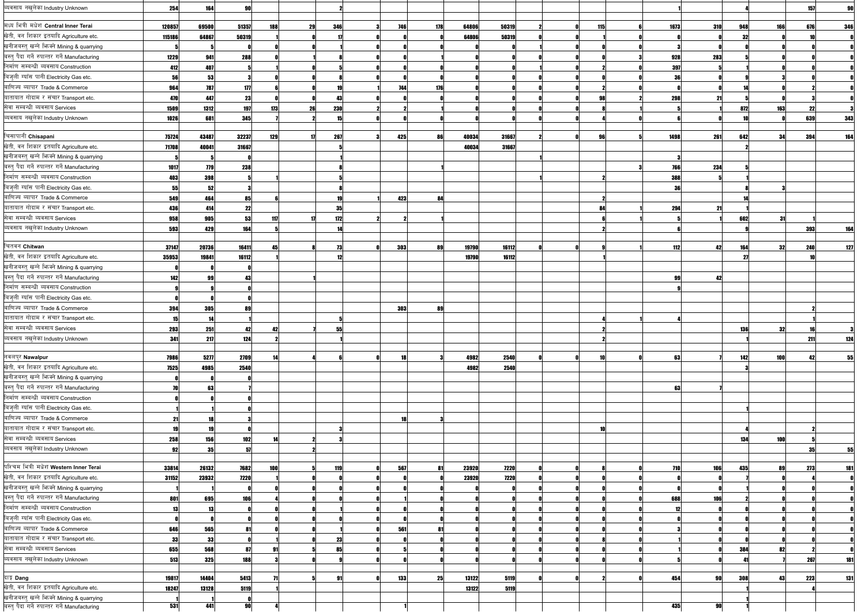| व्यवसाय नखुलेका Industry Unknown                                                           | 254       | 164        | <b>90</b>  |           |           |            |            |       |       |     |            |            |      |            | 157 |            |
|--------------------------------------------------------------------------------------------|-----------|------------|------------|-----------|-----------|------------|------------|-------|-------|-----|------------|------------|------|------------|-----|------------|
|                                                                                            |           |            |            |           |           |            |            |       |       |     |            |            |      |            |     |            |
| मध्य भित्री मधेश Central Inner Terai                                                       | 120857    | 69500      | 51357      | 188<br>29 | 346       | 746        | <b>178</b> | 64806 | 50319 | 115 | 1673       | 310        | 948  | 166        | 676 | 346        |
| खेती, वन शिकार इतयादि Agriculture etc.                                                     | 115186    | 64867      | 50319      |           |           |            |            | 64806 | 50319 |     |            |            | -32  |            |     |            |
| खनीजबस्तु खन्ने फिक्ने Mining & quarrying                                                  |           |            |            |           |           |            |            |       |       |     |            |            |      |            |     |            |
| बस्त् पैदा गर्ने रुपान्तर गर्ने Manufacturing                                              | 1229      | 941        | 288        |           |           |            |            |       |       |     | 928        | 283        |      |            |     |            |
| निर्माण सम्बन्धी ब्यवसाय Construction                                                      | 412       | 407        |            |           |           |            |            |       |       |     | 397        |            |      |            |     |            |
| बिजुली ग्याँस पानी Electricity Gas etc.                                                    | 56        | 53         |            |           |           |            |            |       |       |     | 36         |            |      |            |     |            |
| बाणिज्य ब्यापार Trade & Commerce                                                           | 964       | 787        | 177        |           |           | 744        | 176        |       |       |     |            |            |      |            |     |            |
| यातायात गोदाम र संचार Transport etc.                                                       | 470       | 447        | 23         |           | 43        |            |            |       |       |     | 298        |            |      |            |     |            |
| सेवा सम्बन्धी ब्यवसाय Services                                                             | 1509      | 1312       | <b>197</b> | 173<br>26 | 230       |            |            |       |       |     |            |            | 872  | <b>163</b> | 22  |            |
| ब्यवसाय नखुलेका Industry Unknown                                                           | 1026      | 681        | 345        |           | 15        |            |            |       |       |     |            |            |      |            | 639 | 343        |
|                                                                                            |           |            |            |           |           |            |            |       |       |     |            |            |      |            |     |            |
| चिसापानी Chisapani                                                                         | 75724     | 43487      | 32237      | 129<br>17 | 267       | 425        | 86         | 40034 | 31667 | 96  | 1498       | 261        | 642  | 34         | 394 | 164        |
| खेती, वन शिकार इतयादि Agriculture etc.                                                     | 71708     | 40041      | 31667      |           |           |            |            | 40034 | 31667 |     |            |            |      |            |     |            |
| खनीजबस्त् खन्ने भिज्क्ने Mining & quarrying                                                |           |            |            |           |           |            |            |       |       |     |            |            |      |            |     |            |
| बस्त् पैदा गर्ने रुपान्तर गर्ने Manufacturing                                              | 1017      | <b>779</b> | 238        |           |           |            |            |       |       |     | 766        | 234        |      |            |     |            |
| निर्माण सम्बन्धी ब्यवसाय Construction                                                      | 403       | 398        |            |           |           |            |            |       |       |     | 388        |            |      |            |     |            |
| बिजुली ग्याँस पानी Electricity Gas etc.                                                    | 55        | 52         |            |           |           |            |            |       |       |     | 36         |            |      |            |     |            |
| बाणिज्य ब्यापार Trade & Commerce                                                           | 549       | 464        | 85         |           |           | 423        | 84         |       |       |     |            |            |      |            |     |            |
| यातायात गोदाम र संचार Transport etc.                                                       | 436       | 414        | 22         |           | 35        |            |            |       |       | 84  | 294        | 21         |      |            |     |            |
| सेवा सम्बन्धी ब्यवसाय Services                                                             | 958       | 905        | 53         | 117       | 172       |            |            |       |       |     |            |            | 602  | -31        |     |            |
| ब्यवसाय नखुलेका Industry Unknown                                                           | 593       | 429        | 164        |           |           |            |            |       |       |     |            |            |      |            | 393 | 164        |
|                                                                                            |           |            |            |           |           |            |            |       |       |     |            |            |      |            |     |            |
| चितवन Chitwan                                                                              | 37147     | 20736      | 16411      |           |           | 303        | <b>RQ</b>  | 19790 | 16112 |     | 112        | 42         | 164  | 32         | 240 | 127        |
| खेती, वन शिकार इतयादि Agriculture etc.                                                     | 35953     | 19841      | 16112      |           | 12        |            |            | 19790 | 16112 |     |            |            | - 27 |            |     |            |
| खनीजबस्त् खन्ने फिक्ने Mining & quarrying                                                  |           |            |            |           |           |            |            |       |       |     |            |            |      |            |     |            |
| बस्तु पैदा गर्ने रुपान्तर गर्ने Manufacturing                                              | 142       | 99         | 43         |           |           |            |            |       |       |     |            |            |      |            |     |            |
| निर्माण सम्बन्धी ब्यवसाय Construction                                                      |           |            |            |           |           |            |            |       |       |     |            |            |      |            |     |            |
| बिजुली ग्याँस पानी Electricity Gas etc.                                                    |           |            |            |           |           |            |            |       |       |     |            |            |      |            |     |            |
| बाणिज्य ब्यापार Trade & Commerce                                                           | 394       | 305        | 89         |           |           | <b>303</b> | 89         |       |       |     |            |            |      |            |     |            |
| यातायात गोदाम र संचार Transport etc.                                                       | 15        | -14        |            |           |           |            |            |       |       |     |            |            |      |            |     |            |
| सेवा सम्बन्धी ब्यवसाय Services                                                             | 293       | 251        | 89         |           |           |            |            |       |       |     |            |            | 136  | 32         |     |            |
| ब्यवसाय नखुलेका Industry Unknown                                                           | 341       | 217        | 124        |           |           |            |            |       |       |     |            |            |      |            | 211 | 124        |
|                                                                                            |           |            |            |           |           |            |            |       |       |     |            |            |      |            |     |            |
| नवलपुर Nawalpur                                                                            | 7986      | 5277       | 2709       |           |           |            |            | 4982  | 2540  |     | 63         |            | 142  | 100        | 42  |            |
| खेती, वन शिकार इतयादि Agriculture etc.                                                     | 7525      | 4985       | 2540       |           |           |            |            | 4982  | 2540  |     |            |            |      |            |     |            |
| खनीजबस्त् खन्ने भिष्मे Mining & quarrying                                                  |           |            |            |           |           |            |            |       |       |     |            |            |      |            |     |            |
| बस्तु पैदा गर्ने रुपान्तर गर्ने Manufacturing                                              | 70        | 63         |            |           |           |            |            |       |       |     | 63         |            |      |            |     |            |
| निर्माण सम्बन्धी ब्यवसाय Construction                                                      |           |            |            |           |           |            |            |       |       |     |            |            |      |            |     |            |
| बिजुली ग्याँस पानी Electricity Gas etc.                                                    |           |            |            |           |           |            |            |       |       |     |            |            |      |            |     |            |
| बाणिज्य ब्यापार Trade & Commerce                                                           | 21        | 18         |            |           |           | 18         |            |       |       |     |            |            |      |            |     |            |
| यातायात गोदाम र संचार Transport etc.                                                       | 19        | 19         |            |           |           |            |            |       |       |     |            |            |      |            |     |            |
| सेवा सम्बन्धी ब्यवसाय Services                                                             | 258       | 156        | 102        |           |           |            |            |       |       |     |            |            | 134  | 100        |     |            |
| ब्यवसाय नखुलेका Industry Unknown                                                           |           |            |            |           |           |            |            |       |       |     |            |            |      |            |     |            |
|                                                                                            | 92        | 35         | 57         |           |           |            |            |       |       |     |            |            |      |            | 35  | 55         |
| पश्चिम भित्री मधेश Western Inner Terai                                                     | 33814     | 26132      | 7682       | 100       | 119       | 567        | 81         | 23920 | 7220  |     | <b>710</b> | 106        | 435  | 89         | 273 | 181        |
| खेती, वन शिकार इतयादि Agriculture etc.                                                     | 31152     | 23932      | 7220       |           |           |            |            | 23920 | 7220  |     |            |            |      |            |     |            |
| खनीजबस्तु खन्ने फिक्ने Mining & quarrying                                                  |           |            |            |           |           |            |            |       |       |     |            |            |      |            |     |            |
| बस्त् पैदा गर्ने रुपान्तर गर्ने Manufacturing                                              |           |            |            |           |           |            |            |       |       |     |            | <b>106</b> |      |            |     |            |
| निर्माण सम्बन्धी ब्यवसाय Construction                                                      | 801<br>13 | 695<br>13  | 106        |           |           |            |            |       |       |     | 688        |            |      |            |     |            |
| बिजुली ग्याँस पानी Electricity Gas etc.                                                    |           |            |            |           |           |            |            |       |       |     |            |            |      |            |     |            |
|                                                                                            |           |            |            |           |           |            |            |       |       |     |            |            |      |            |     |            |
| बाणिज्य ब्यापार Trade & Commerce                                                           | 646       | 565        | 81         |           |           | 561        | -81        |       |       |     |            |            |      |            |     |            |
| यातायात गोदाम र संचार Transport etc.                                                       | 33        | 33         |            |           | 23        |            |            |       |       |     |            |            |      |            |     |            |
| सेवा सम्बन्धी ब्यवसाय Services                                                             | 655       | 568        | -87        |           | 851       |            |            |       |       |     |            |            | 384  | 82         |     |            |
| ब्यवसाय नखुलेका Industry Unknown                                                           | 513       | 325        | 188        |           |           |            |            |       |       |     |            |            |      |            | 267 | <b>181</b> |
|                                                                                            |           |            |            |           |           |            |            |       |       |     |            |            |      |            |     |            |
| दाङ्ग Dang                                                                                 | 19817     | 14404      | 5413       |           | <b>Q1</b> | <b>133</b> | 25         | 13122 | 5119  |     | 454        | -90        | 308  | 43         | 223 | 131        |
| खेती, वन शिकार इतयादि Agriculture etc.                                                     | 18247     | 13128      | 5119       |           |           |            |            | 13122 | 5119  |     |            |            |      |            |     |            |
| खनीजबस्तु खन्ने फिक्ने Mining & quarrying<br>बस्तु पैदा गर्ने रुपान्तर गर्ने Manufacturing | 531       | 441        | 90         |           |           |            |            |       |       |     | 435        | <b>gnl</b> |      |            |     |            |
|                                                                                            |           |            |            |           |           |            |            |       |       |     |            |            |      |            |     |            |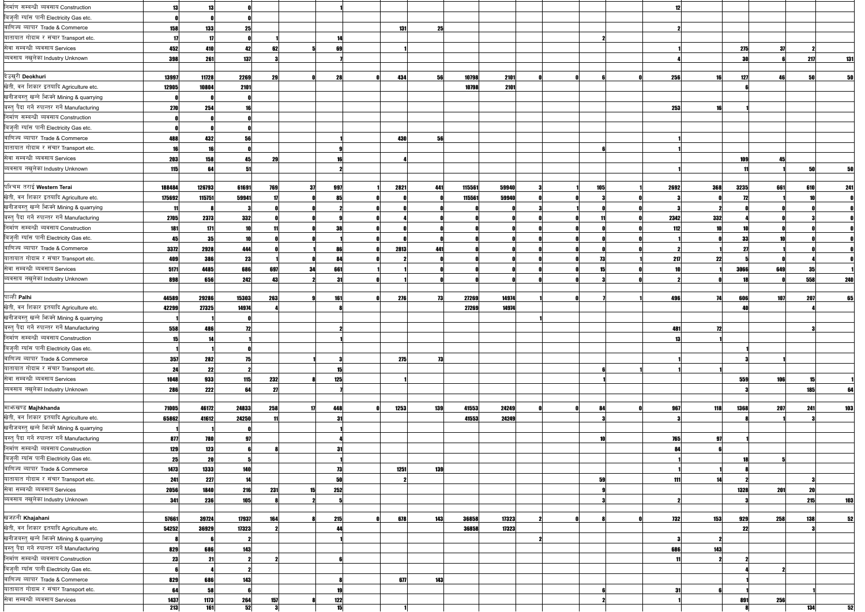| निर्माण सम्बन्धी ब्यवसाय Construction         |            |            |            |     |    |     |            |     |        |       |  |     |            |            |      |     |            |     |
|-----------------------------------------------|------------|------------|------------|-----|----|-----|------------|-----|--------|-------|--|-----|------------|------------|------|-----|------------|-----|
| बिजुली ग्याँस पानी Electricity Gas etc.       |            |            |            |     |    |     |            |     |        |       |  |     |            |            |      |     |            |     |
| बाणिज्य ब्यापार Trade & Commerce              | 158        | 133        |            |     |    |     | 131        | 25  |        |       |  |     |            |            |      |     |            |     |
| यातायात गोदाम र संचार Transport etc.          |            |            |            |     |    |     |            |     |        |       |  |     |            |            |      |     |            |     |
| सेवा सम्बन्धी ब्यवसाय Services                | 452        | 410        |            | 62  |    |     |            |     |        |       |  |     |            |            | 275  | -37 |            |     |
| ब्यवसाय नखुलेका Industry Unknown              | 398        | 261        | <b>137</b> |     |    |     |            |     |        |       |  |     |            |            |      |     | 217        | 131 |
|                                               |            |            |            |     |    |     |            |     |        |       |  |     |            |            |      |     |            |     |
| देउखुरी Deokhuri                              | 13997      | 11728      | 2269       | 29  |    | 28  | 434        | 56  | 10798  | 2101  |  |     | 256        |            | 127  | 46  |            |     |
| खेती, वन शिकार इतयादि Agriculture etc.        | 12905      | 10804      | 2101       |     |    |     |            |     | 10798  | 2101  |  |     |            |            |      |     |            |     |
| खनीजबस्त् खन्ने फिक्ने Mining & quarrying     |            |            |            |     |    |     |            |     |        |       |  |     |            |            |      |     |            |     |
| बस्त् पैदा गर्ने रुपान्तर गर्ने Manufacturing | <b>270</b> | 254        |            |     |    |     |            |     |        |       |  |     | 253        |            |      |     |            |     |
| निर्माण सम्बन्धी ब्यवसाय Construction         |            |            |            |     |    |     |            |     |        |       |  |     |            |            |      |     |            |     |
| बिजुली ग्याँस पानी Electricity Gas etc.       |            |            |            |     |    |     |            |     |        |       |  |     |            |            |      |     |            |     |
| बाणिज्य ब्यापार Trade & Commerce              | 48         | 432        |            |     |    |     | <b>430</b> | 56  |        |       |  |     |            |            |      |     |            |     |
| यातायात गोदाम र संचार Transport etc.          |            |            |            |     |    |     |            |     |        |       |  |     |            |            |      |     |            |     |
| सेवा सम्बन्धी ब्यवसाय Services                |            |            |            |     |    |     |            |     |        |       |  |     |            |            |      | 45  |            |     |
| ब्यवसाय नखुलेका Industry Unknown              | 203        | 158        |            | 29  |    |     |            |     |        |       |  |     |            |            |      |     |            |     |
|                                               | 115        |            |            |     |    |     |            |     |        |       |  |     |            |            |      |     |            |     |
| पश्चिम तराई Western Terai                     | 188484     | 126793     | 61691      | 769 |    | 997 | 2821       | 441 | 115561 | 59940 |  | 105 | 2692       | 368        | 3235 | 661 | 610        | 241 |
| खेती, वन शिकार इतयादि Agriculture etc.        | 175692     | 115751     | 59941      |     |    |     |            |     | 115561 | 59940 |  |     |            |            |      |     |            |     |
| खनीजबस्त् खन्ने भिज्मे Mining & quarrying     |            |            |            |     |    |     |            |     |        |       |  |     |            |            |      |     |            |     |
| बस्तु पैदा गर्ने रुपान्तर गर्ने Manufacturing |            |            |            |     |    |     |            |     |        |       |  |     |            |            |      |     |            |     |
| निर्माण सम्बन्धी ब्यवसाय Construction         | 2705       | 2373       | 332        |     |    |     |            |     |        |       |  |     | 2342       | 332        |      |     |            |     |
|                                               | 181        | 171        | 10         |     |    | 38  |            |     |        |       |  |     | 112        |            |      |     |            |     |
| बिजुली ग्याँस पानी Electricity Gas etc.       |            | 35         |            |     |    |     |            |     |        |       |  |     |            |            | 33   |     |            |     |
| बाणिज्य ब्यापार Trade & Commerce              | 3372       | 2928       | 444        |     |    | 86  | 2813       | 441 |        |       |  |     |            |            | -21  |     |            |     |
| यातायात गोदाम र संचार Transport etc.          | 409        | 386        | 23         |     |    | 84  |            |     |        |       |  | 73  | -217       | 22         |      |     |            |     |
| सेवा सम्बन्धी ब्यवसाय Services                | 5171       | 4485       | 686        | 697 |    | 661 |            |     |        |       |  |     |            |            | 3066 | 649 |            |     |
| ब्यवसाय नखुलेका Industry Unknown              | 898        | 656        | 242        | 43  |    | -31 |            |     |        |       |  |     |            |            |      |     | 558        | 240 |
|                                               |            |            |            |     |    |     |            |     |        |       |  |     |            |            |      |     |            |     |
| पाल्ही Palhi                                  | 44589      | 29286      | 15303      | 263 |    | 161 | 276        | 73  | 27269  | 14974 |  |     | 496        | -74        | 606  | 107 | 207        | 65  |
| खेती, वन शिकार इतयादि Agriculture etc.        | 42299      | 27325      | 14974      |     |    |     |            |     | 27269  | 14974 |  |     |            |            |      |     |            |     |
| खनीजबस्तु खन्ने भिज्मे Mining & quarrying     |            |            |            |     |    |     |            |     |        |       |  |     |            |            |      |     |            |     |
| बस्त पैदा गर्ने रुपान्तर गर्ने Manufacturing  | 558        | <b>ARG</b> | 79         |     |    |     |            |     |        |       |  |     | 481 I      |            |      |     |            |     |
| निर्माण सम्बन्धी ब्यवसाय Construction         |            |            |            |     |    |     |            |     |        |       |  |     |            |            |      |     |            |     |
| बिजुली ग्याँस पानी Electricity Gas etc.       |            |            |            |     |    |     |            |     |        |       |  |     |            |            |      |     |            |     |
| बाणिज्य ब्यापार Trade & Commerce              | 357        | 282        | 75         |     |    |     | 275        | 73  |        |       |  |     |            |            |      |     |            |     |
| यातायात गोदाम र संचार Transport etc.          | 24         | 22         |            |     |    |     |            |     |        |       |  |     |            |            |      |     |            |     |
| सेवा सम्बन्धी ब्यवसाय Services                | 1048       | 933        | 115        | 232 |    | 125 |            |     |        |       |  |     |            |            | 559  | 106 | 15         |     |
| ब्यवसाय नखुलेका Industry Unknown              | 286        | 222        | 64         | 21  |    |     |            |     |        |       |  |     |            |            |      |     | <b>185</b> |     |
|                                               |            |            |            |     |    |     |            |     |        |       |  |     |            |            |      |     |            |     |
| माभाखण्ड Majhkhanda                           | 71005      | 46172      | 24833      | 258 |    | 448 | 1253       | 139 | 41553  | 24249 |  | 84  | 967        | 118        | 1368 | 207 | 241        | 103 |
| खेती, वन शिकार इतयादि Agriculture etc.        | 65862      | 41612      | 24250      |     |    | -31 |            |     | 41553  | 24249 |  |     |            |            |      |     |            |     |
| खनीजबस्तु खन्ने फिक्ने Mining & quarrying     |            |            |            |     |    |     |            |     |        |       |  |     |            |            |      |     |            |     |
| बस्त् पैदा गर्ने रुपान्तर गर्ने Manufacturing | 877        | 780        |            |     |    |     |            |     |        |       |  |     | 765        | -97        |      |     |            |     |
| निर्माण सम्बन्धी ब्यवसाय Construction         | 129        | 123        |            |     |    | -31 |            |     |        |       |  |     |            |            |      |     |            |     |
| बिजुली ग्याँस पानी Electricity Gas etc.       | 25         | 20         |            |     |    |     |            |     |        |       |  |     |            |            |      |     |            |     |
| बाणिज्य ब्यापार Trade & Commerce              | 1473       | 1333       | 140        |     |    | 73  | 1251       | 139 |        |       |  |     |            |            |      |     |            |     |
| यातायात गोदाम र संचार Transport etc.          | 241        | 227        | 14         |     |    | 50  |            |     |        |       |  | 59  | 11         |            |      |     |            |     |
| सेवा सम्बन्धी ब्यवसाय Services                | 2056       | 1840       | 216        | 231 | 15 | 252 |            |     |        |       |  |     |            |            | 1328 | 201 | <b>20</b>  |     |
| ब्यवसाय नखुलेका Industry Unknown              | 341        | 236        | 105        |     |    |     |            |     |        |       |  |     |            |            |      |     | <b>215</b> |     |
|                                               |            |            |            |     |    |     |            |     |        |       |  |     |            |            |      |     |            |     |
| खजहनी Khajahani                               | 57661      | 39724      | 17937      | 164 |    | 215 | 678        | 143 | 36858  | 17323 |  |     | <b>732</b> | <b>153</b> | 929  | 258 | 138        |     |
| खेती, वन शिकार इतयादि Agriculture etc.        | 54252      | 36929      | 17323      |     |    | 44  |            |     | 36858  | 17323 |  |     |            |            | 22   |     |            |     |
| खनीजबस्तु खन्ने भिज्क्ने Mining & quarrying   |            |            |            |     |    |     |            |     |        |       |  |     |            |            |      |     |            |     |
| बस्तु पैदा गर्ने रुपान्तर गर्ने Manufacturing | 829        | 686        | 143        |     |    |     |            |     |        |       |  |     |            | 143        |      |     |            |     |
| निर्माण सम्बन्धी ब्यवसाय Construction         | -231       | 21         |            |     |    |     |            |     |        |       |  |     |            |            |      |     |            |     |
| बिजुली ग्याँस पानी Electricity Gas etc.       |            |            |            |     |    |     |            |     |        |       |  |     |            |            |      |     |            |     |
| बाणिज्य ब्यापार Trade & Commerce              | 829        | 686        | 143        |     |    |     | 677        | 143 |        |       |  |     |            |            |      |     |            |     |
| यातायात गोदाम र संचार Transport etc.          | -64        | 58         |            |     |    |     |            |     |        |       |  |     |            |            |      |     |            |     |
| सेवा सम्बन्धी ब्यवसाय Services                |            |            |            |     |    |     |            |     |        |       |  |     |            |            |      |     |            |     |
|                                               | 1437       | 1173       | 264        | 157 |    | 122 |            |     |        |       |  |     |            |            | 891  | 256 |            |     |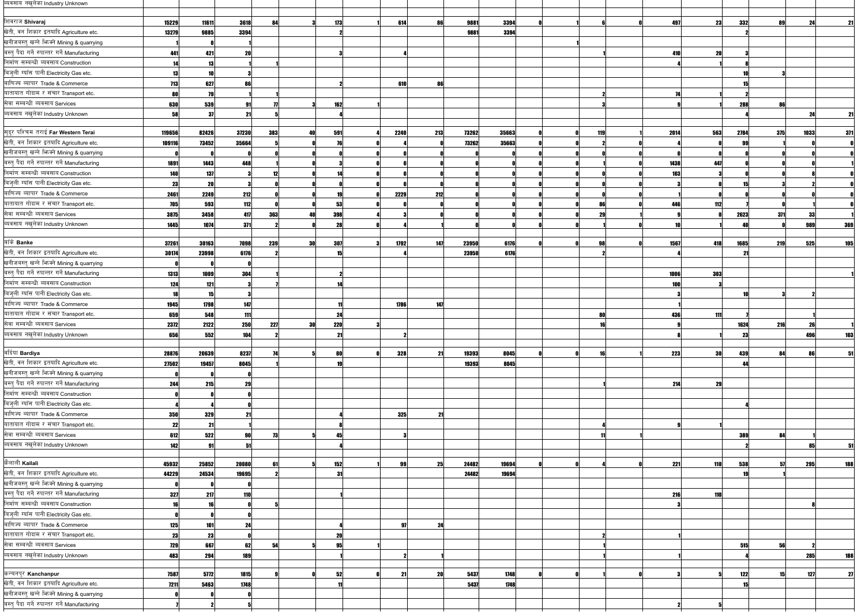| व्यवसाय नखुलेका Industry Unknown              |            |       |            |     |     |            |      |           |       |       |  |           |      |     |      |                 |      |            |
|-----------------------------------------------|------------|-------|------------|-----|-----|------------|------|-----------|-------|-------|--|-----------|------|-----|------|-----------------|------|------------|
|                                               |            |       |            |     |     |            |      |           |       |       |  |           |      |     |      |                 |      |            |
| शिवराज Shivaraj                               | 15229      | 11611 | 3618       | 84  |     | 173        | 614  | 86        | 9881  | 3394  |  |           | 497  | 23  | 332  | 89              | 24   | 21         |
| खेती, वन शिकार इतयादि Agriculture etc.        | 13279      | 9885  | 3394       |     |     |            |      |           | 9881  | 3394  |  |           |      |     |      |                 |      |            |
| खनीजबस्तु खन्ने फिक्ने Mining & quarrying     |            |       |            |     |     |            |      |           |       |       |  |           |      |     |      |                 |      |            |
| बस्त् पैदा गर्ने रुपान्तर गर्ने Manufacturing | 441        | 421   | -20        |     |     |            |      |           |       |       |  |           | 410  | 20  |      |                 |      |            |
| निर्माण सम्बन्धी ब्यवसाय Construction         |            | 13    |            |     |     |            |      |           |       |       |  |           |      |     |      |                 |      |            |
| बिजुली ग्याँस पानी Electricity Gas etc.       |            |       |            |     |     |            |      |           |       |       |  |           |      |     |      |                 |      |            |
| बाणिज्य ब्यापार Trade & Commerce              | <b>713</b> | 627   |            |     |     |            | 610  | 86        |       |       |  |           |      |     |      |                 |      |            |
| यातायात गोदाम र संचार Transport etc.          |            | 79    |            |     |     |            |      |           |       |       |  |           |      |     |      |                 |      |            |
| सेवा सम्बन्धी ब्यवसाय Services                | 630        | 539   |            |     |     | 162        |      |           |       |       |  |           |      |     | 288  | 86              |      |            |
| ब्यवसाय नखुलेका Industry Unknown              | 58         | 37    |            |     |     |            |      |           |       |       |  |           |      |     |      |                 |      | 21         |
|                                               |            |       |            |     |     |            |      |           |       |       |  |           |      |     |      |                 |      |            |
| सुदूर पश्चिम तराई Far Western Terai           | 119656     | 82426 | 37230      | 383 |     | 591        | 2240 | 213       | 73262 | 35663 |  | 119       | 2014 | 563 | 2784 | 375             | 1033 | 371        |
| खेती, वन शिकार इतयादि Agriculture etc.        | 109116     | 73452 | 35664      |     |     |            |      |           | 73262 | 35663 |  |           |      |     |      |                 |      |            |
| खनीजबस्त् खन्ने भिज्मे Mining & quarrying     |            |       |            |     |     |            |      |           |       |       |  |           |      |     |      |                 |      |            |
| बस्तु पैदा गर्ने रुपान्तर गर्ने Manufacturing | 1891       | 1443  | 448        |     |     |            |      |           |       |       |  |           | 1438 | 447 |      |                 |      |            |
| निर्माण सम्बन्धी ब्यवसाय Construction         | 140        | 137   |            |     |     |            |      |           |       |       |  |           | 103  |     |      |                 |      |            |
| बिजुली ग्याँस पानी Electricity Gas etc.       | 23         | 20    |            |     |     |            |      |           |       |       |  |           |      |     |      |                 |      |            |
| बाणिज्य ब्यापार Trade & Commerce              | 2461       | 2249  | 212        |     |     |            | 2229 | 212       |       |       |  |           |      |     |      |                 |      |            |
| यातायात गोदाम र संचार Transport etc.          | 705        | 593   | 112        |     |     | 53         |      |           |       |       |  | 86        | 446  | 112 |      |                 |      |            |
| सेवा सम्बन्धी ब्यवसाय Services                |            | 3458  |            |     |     |            |      |           |       |       |  |           |      |     |      |                 |      |            |
| ब्यवसाय नखुलेका Industry Unknown              | 3875       |       | 417        | 363 |     | 398        |      |           |       |       |  | 29        |      |     | 2623 | 371             | 33   |            |
|                                               | 1445       | 1074  | 371        |     |     |            |      |           |       |       |  |           |      |     |      |                 | 989  | 369        |
| बाँके Banke                                   | 37261      | 30163 | 7098       | 239 | 30  | 307        | 1792 | 147       | 23950 | 6176  |  | 98        | 1567 | 418 | 1685 | <b>219</b>      | 525  | 105        |
| खेती, वन शिकार इतयादि Agriculture etc.        | 30174      | 23998 |            |     |     |            |      |           |       | 6176  |  |           |      |     |      |                 |      |            |
| खनीजबस्तु खन्ने भिज्मे Mining & quarrying     |            |       | 6176       |     |     |            |      |           | 23950 |       |  |           |      |     |      |                 |      |            |
| बस्त् पैदा गर्ने रुपान्तर गर्ने Manufacturing |            |       |            |     |     |            |      |           |       |       |  |           |      |     |      |                 |      |            |
| निर्माण सम्बन्धी ब्यवसाय Construction         | 1313       | 1009  | 304        |     |     |            |      |           |       |       |  |           | 1006 | 303 |      |                 |      |            |
|                                               | 124        | 121   |            |     |     |            |      |           |       |       |  |           |      |     |      |                 |      |            |
| बिजुली ग्याँस पानी Electricity Gas etc.       |            | 15    |            |     |     |            |      |           |       |       |  |           |      |     |      |                 |      |            |
| बाणिज्य ब्यापार Trade & Commerce              | 1945       | 1798  | 147        |     |     |            | 1786 | 147       |       |       |  |           |      |     |      |                 |      |            |
| यातायात गोदाम र संचार Transport etc.          | 659        | 548   | 111        |     |     | 24         |      |           |       |       |  | 80        | 436  | 111 |      |                 |      |            |
| सेवा सम्बन्धी ब्यवसाय Services                | 2372       | 2122  | 250        | 227 | 30l | <b>220</b> |      |           |       |       |  |           |      |     | 1624 | <b>216</b>      |      |            |
| व्यवसाय नखुलेका Industry Unknown              | 656        | 552   | <b>104</b> |     |     | 21         |      |           |       |       |  |           |      |     | 23   |                 | 496  | 103        |
|                                               |            |       |            |     |     |            |      |           |       |       |  |           |      |     |      |                 |      |            |
| बर्दिया Bardiya                               | 28876      | 20639 | 8237       |     |     | 80         | 328  | 21        | 19393 | 8045  |  | <b>16</b> | 223  | 30  | 439  | 84              |      |            |
| खेती, वन शिकार इतयादि Agriculture etc.        | 27502      | 19457 | 8045       |     |     |            |      |           | 19393 | 8045  |  |           |      |     | ΔΔ   |                 |      |            |
| खनीजबस्त् खन्ने भिज्मे Mining & quarrying     |            |       |            |     |     |            |      |           |       |       |  |           |      |     |      |                 |      |            |
| बस्त् पैदा गर्ने रुपान्तर गर्ने Manufacturing | 244        | 215   | -29        |     |     |            |      |           |       |       |  |           | 214  | 29  |      |                 |      |            |
| निर्माण सम्बन्धी ब्यवसाय Construction         |            |       |            |     |     |            |      |           |       |       |  |           |      |     |      |                 |      |            |
| बिजुली ग्याँस पानी Electricity Gas etc.       |            |       |            |     |     |            |      |           |       |       |  |           |      |     |      |                 |      |            |
| बाणिज्य ब्यापार Trade & Commerce              | 350        | 329   |            |     |     |            | 325  | -21       |       |       |  |           |      |     |      |                 |      |            |
| यातायात गोदाम र संचार Transport etc.          | 22         | 21    |            |     |     |            |      |           |       |       |  |           |      |     |      |                 |      |            |
| सेवा सम्बन्धी ब्यवसाय Services                | 612        | 522   |            |     |     |            |      |           |       |       |  |           |      |     | 389  | 94              |      |            |
| व्यवसाय नखुलेका Industry Unknown              | 142        | 91    |            |     |     |            |      |           |       |       |  |           |      |     |      |                 | 851  |            |
|                                               |            |       |            |     |     |            |      |           |       |       |  |           |      |     |      |                 |      |            |
| कैलाली Kailali                                | 45932      | 25852 | 20080      |     |     | 152        | 99   | 25        | 24482 | 19694 |  |           | 221  | 110 | 538  |                 | 295  | <b>188</b> |
| खेती, वन शिकार इतयादि Agriculture etc.        | 44229      | 24534 | 19695      |     |     | -31        |      |           | 24482 | 19694 |  |           |      |     |      |                 |      |            |
| खनीजबस्त् खन्ने फिक्ने Mining & quarrying     |            |       |            |     |     |            |      |           |       |       |  |           |      |     |      |                 |      |            |
| बस्त् पैदा गर्ने रुपान्तर गर्ने Manufacturing | 327        | 217   | <b>110</b> |     |     |            |      |           |       |       |  |           | 216  | 110 |      |                 |      |            |
| निर्माण सम्बन्धी ब्यवसाय Construction         |            | 16    |            |     |     |            |      |           |       |       |  |           |      |     |      |                 |      |            |
| बिज़ली ग्याँस पानी Electricity Gas etc.       |            |       |            |     |     |            |      |           |       |       |  |           |      |     |      |                 |      |            |
| बाणिज्य ब्यापार Trade & Commerce              | 125        | 101   |            |     |     |            | 97   | 24        |       |       |  |           |      |     |      |                 |      |            |
| यातायात गोदाम र संचार Transport etc.          | 23         | 23    |            |     |     |            |      |           |       |       |  |           |      |     |      |                 |      |            |
| सेवा सम्बन्धी ब्यवसाय Services                | <b>729</b> | 667   | 62         | -5  |     | 95         |      |           |       |       |  |           |      |     | 515  | 56              |      |            |
| ब्यवसाय नखुलेका Industry Unknown              | 483        | 294   | 189        |     |     |            |      |           |       |       |  |           |      |     |      |                 | 285  | 188        |
|                                               |            |       |            |     |     |            |      |           |       |       |  |           |      |     |      |                 |      |            |
| कन्चनपुर Kanchanpur                           | 7587       | 5772  | 1815       |     |     | 52         | 21   | <b>20</b> | 5437  | 1748  |  |           |      |     | 122  | 15 <sup>1</sup> | 127  | 27         |
| खेती, वन शिकार इतयादि Agriculture etc.        | 7211       | 5463  | 1748       |     |     |            |      |           | 5437  | 1748  |  |           |      |     | 15   |                 |      |            |
| खनीजबस्तु खन्ने भिज्मे Mining & quarrying     |            |       |            |     |     |            |      |           |       |       |  |           |      |     |      |                 |      |            |
| बस्त् पैदा गर्ने रुपान्तर गर्ने Manufacturing |            |       |            |     |     |            |      |           |       |       |  |           |      |     |      |                 |      |            |
|                                               |            |       |            |     |     |            |      |           |       |       |  |           |      |     |      |                 |      |            |